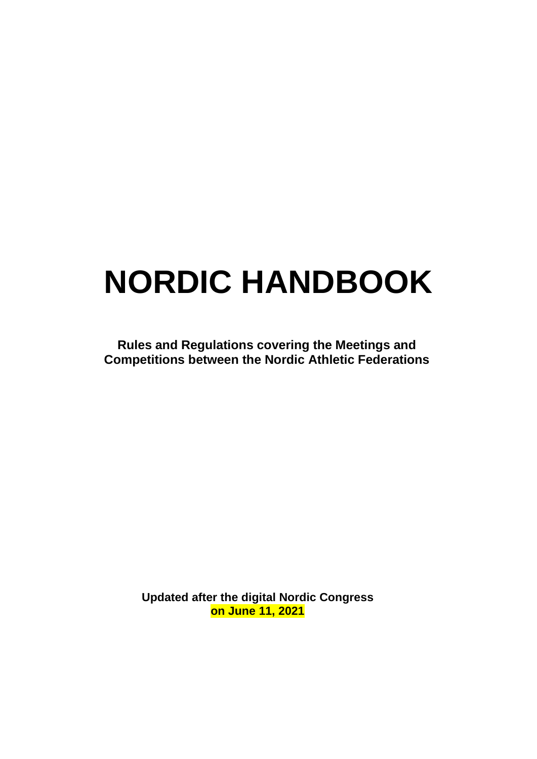# **NORDIC HANDBOOK**

**Rules and Regulations covering the Meetings and Competitions between the Nordic Athletic Federations**

> **Updated after the digital Nordic Congress on June 11, 2021**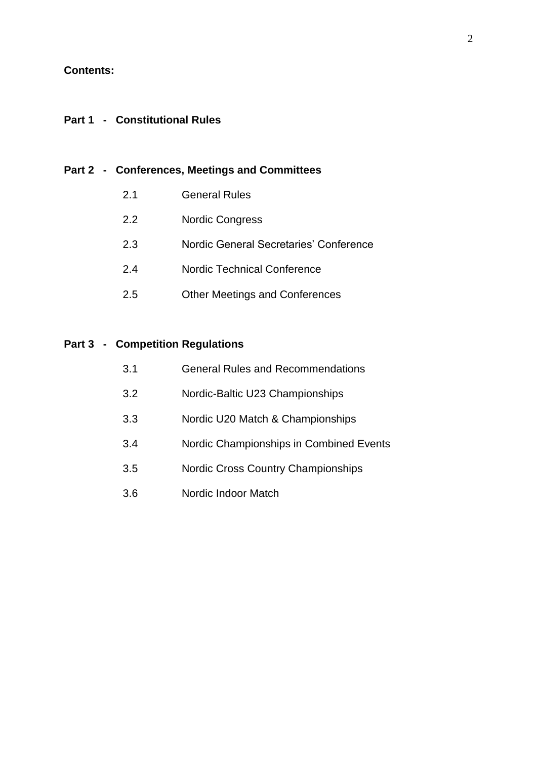#### **Contents:**

#### **Part 1 - Constitutional Rules**

#### **Part 2 - Conferences, Meetings and Committees**

- 2.1 General Rules
- 2.2 Nordic Congress
- 2.3 Nordic General Secretaries' Conference
- 2.4 Nordic Technical Conference
- 2.5 Other Meetings and Conferences

#### **Part 3 - Competition Regulations**

| 3.1 |  | <b>General Rules and Recommendations</b> |  |
|-----|--|------------------------------------------|--|
|     |  |                                          |  |

- 3.2 Nordic-Baltic U23 Championships
- 3.3 Nordic U20 Match & Championships
- 3.4 Nordic Championships in Combined Events
- 3.5 Nordic Cross Country Championships
- 3.6 Nordic Indoor Match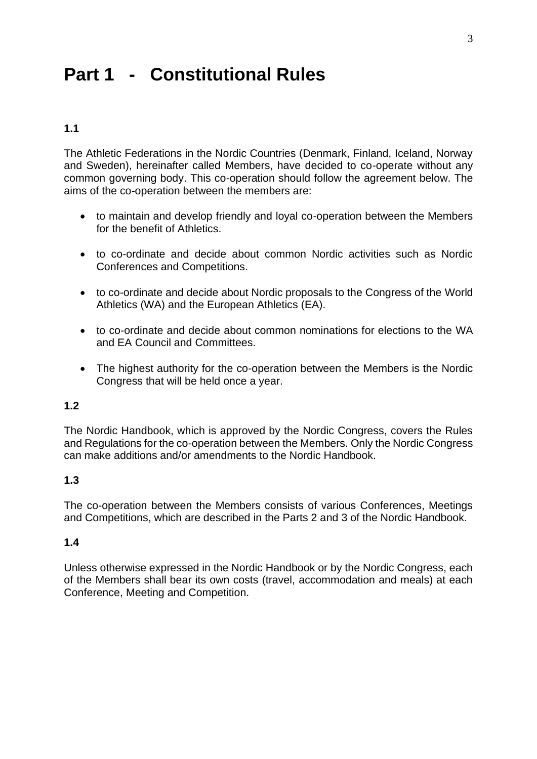# **Part 1 - Constitutional Rules**

# **1.1**

The Athletic Federations in the Nordic Countries (Denmark, Finland, Iceland, Norway and Sweden), hereinafter called Members, have decided to co-operate without any common governing body. This co-operation should follow the agreement below. The aims of the co-operation between the members are:

- to maintain and develop friendly and loyal co-operation between the Members for the benefit of Athletics.
- to co-ordinate and decide about common Nordic activities such as Nordic Conferences and Competitions.
- to co-ordinate and decide about Nordic proposals to the Congress of the World Athletics (WA) and the European Athletics (EA).
- to co-ordinate and decide about common nominations for elections to the WA and EA Council and Committees.
- The highest authority for the co-operation between the Members is the Nordic Congress that will be held once a year.

#### **1.2**

The Nordic Handbook, which is approved by the Nordic Congress, covers the Rules and Regulations for the co-operation between the Members. Only the Nordic Congress can make additions and/or amendments to the Nordic Handbook.

# **1.3**

The co-operation between the Members consists of various Conferences, Meetings and Competitions, which are described in the Parts 2 and 3 of the Nordic Handbook.

#### **1.4**

Unless otherwise expressed in the Nordic Handbook or by the Nordic Congress, each of the Members shall bear its own costs (travel, accommodation and meals) at each Conference, Meeting and Competition.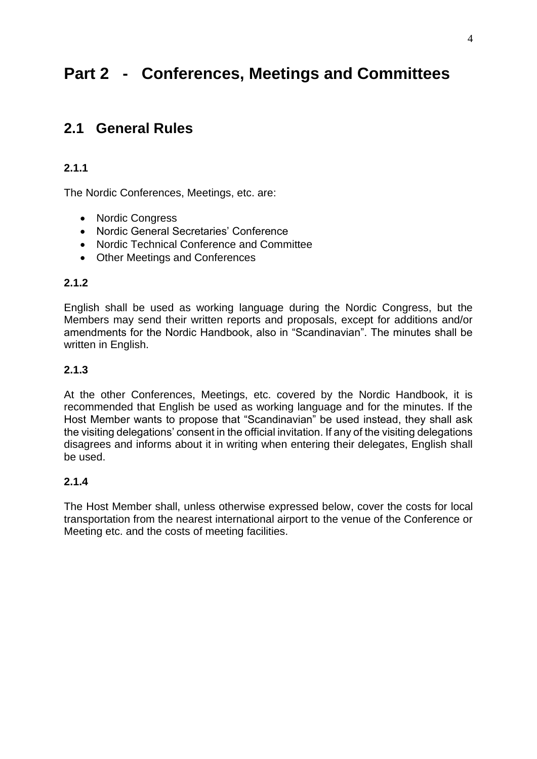# **Part 2 - Conferences, Meetings and Committees**

# **2.1 General Rules**

# **2.1.1**

The Nordic Conferences, Meetings, etc. are:

- Nordic Congress
- Nordic General Secretaries' Conference
- Nordic Technical Conference and Committee
- Other Meetings and Conferences

#### **2.1.2**

English shall be used as working language during the Nordic Congress, but the Members may send their written reports and proposals, except for additions and/or amendments for the Nordic Handbook, also in "Scandinavian". The minutes shall be written in English.

#### **2.1.3**

At the other Conferences, Meetings, etc. covered by the Nordic Handbook, it is recommended that English be used as working language and for the minutes. If the Host Member wants to propose that "Scandinavian" be used instead, they shall ask the visiting delegations' consent in the official invitation. If any of the visiting delegations disagrees and informs about it in writing when entering their delegates, English shall be used.

#### **2.1.4**

The Host Member shall, unless otherwise expressed below, cover the costs for local transportation from the nearest international airport to the venue of the Conference or Meeting etc. and the costs of meeting facilities.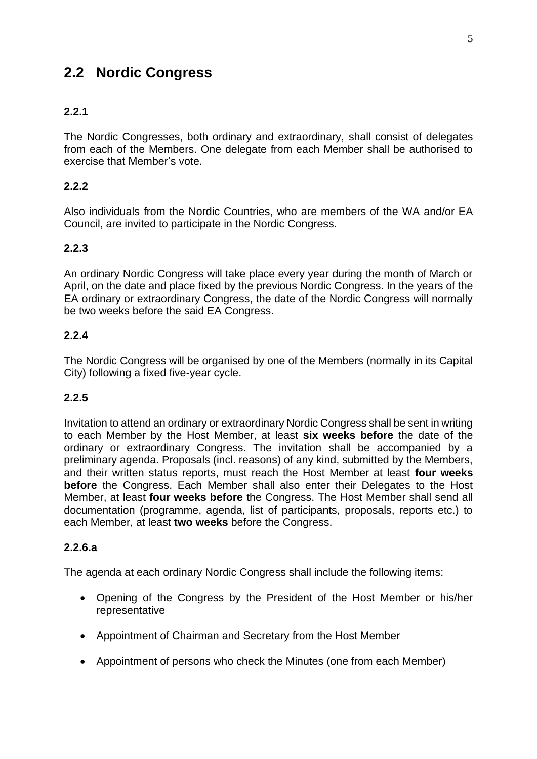# **2.2 Nordic Congress**

# **2.2.1**

The Nordic Congresses, both ordinary and extraordinary, shall consist of delegates from each of the Members. One delegate from each Member shall be authorised to exercise that Member's vote.

#### **2.2.2**

Also individuals from the Nordic Countries, who are members of the WA and/or EA Council, are invited to participate in the Nordic Congress.

#### **2.2.3**

An ordinary Nordic Congress will take place every year during the month of March or April, on the date and place fixed by the previous Nordic Congress. In the years of the EA ordinary or extraordinary Congress, the date of the Nordic Congress will normally be two weeks before the said EA Congress.

#### **2.2.4**

The Nordic Congress will be organised by one of the Members (normally in its Capital City) following a fixed five-year cycle.

#### **2.2.5**

Invitation to attend an ordinary or extraordinary Nordic Congress shall be sent in writing to each Member by the Host Member, at least **six weeks before** the date of the ordinary or extraordinary Congress. The invitation shall be accompanied by a preliminary agenda. Proposals (incl. reasons) of any kind, submitted by the Members, and their written status reports, must reach the Host Member at least **four weeks before** the Congress. Each Member shall also enter their Delegates to the Host Member, at least **four weeks before** the Congress. The Host Member shall send all documentation (programme, agenda, list of participants, proposals, reports etc.) to each Member, at least **two weeks** before the Congress.

#### **2.2.6.a**

The agenda at each ordinary Nordic Congress shall include the following items:

- Opening of the Congress by the President of the Host Member or his/her representative
- Appointment of Chairman and Secretary from the Host Member
- Appointment of persons who check the Minutes (one from each Member)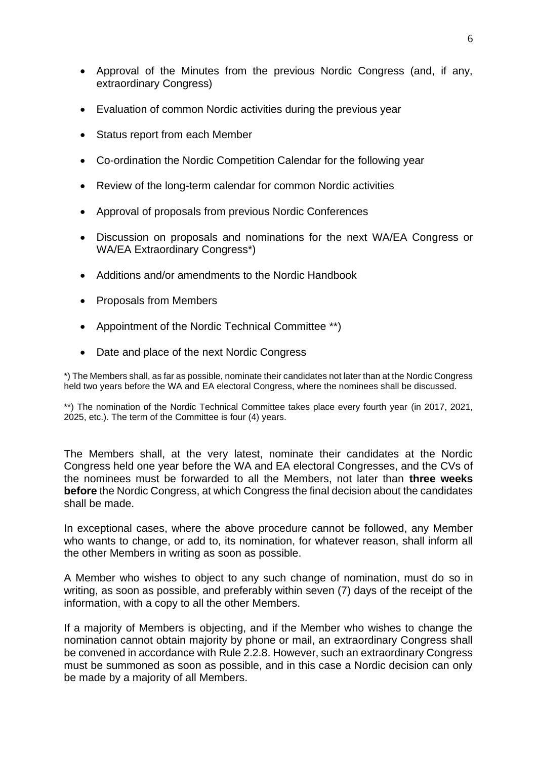- Approval of the Minutes from the previous Nordic Congress (and, if any, extraordinary Congress)
- Evaluation of common Nordic activities during the previous year
- Status report from each Member
- Co-ordination the Nordic Competition Calendar for the following year
- Review of the long-term calendar for common Nordic activities
- Approval of proposals from previous Nordic Conferences
- Discussion on proposals and nominations for the next WA/EA Congress or WA/EA Extraordinary Congress\*)
- Additions and/or amendments to the Nordic Handbook
- Proposals from Members
- Appointment of the Nordic Technical Committee \*\*)
- Date and place of the next Nordic Congress

\*) The Members shall, as far as possible, nominate their candidates not later than at the Nordic Congress held two years before the WA and EA electoral Congress, where the nominees shall be discussed.

\*\*) The nomination of the Nordic Technical Committee takes place every fourth year (in 2017, 2021, 2025, etc.). The term of the Committee is four (4) years.

The Members shall, at the very latest, nominate their candidates at the Nordic Congress held one year before the WA and EA electoral Congresses, and the CVs of the nominees must be forwarded to all the Members, not later than **three weeks before** the Nordic Congress, at which Congress the final decision about the candidates shall be made.

In exceptional cases, where the above procedure cannot be followed, any Member who wants to change, or add to, its nomination, for whatever reason, shall inform all the other Members in writing as soon as possible.

A Member who wishes to object to any such change of nomination, must do so in writing, as soon as possible, and preferably within seven (7) days of the receipt of the information, with a copy to all the other Members.

If a majority of Members is objecting, and if the Member who wishes to change the nomination cannot obtain majority by phone or mail, an extraordinary Congress shall be convened in accordance with Rule 2.2.8. However, such an extraordinary Congress must be summoned as soon as possible, and in this case a Nordic decision can only be made by a majority of all Members.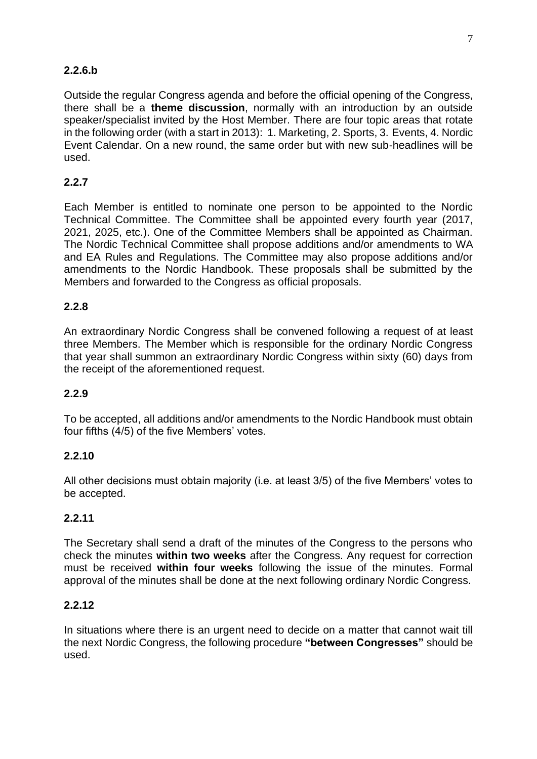# **2.2.6.b**

Outside the regular Congress agenda and before the official opening of the Congress, there shall be a **theme discussion**, normally with an introduction by an outside speaker/specialist invited by the Host Member. There are four topic areas that rotate in the following order (with a start in 2013): 1. Marketing, 2. Sports, 3. Events, 4. Nordic Event Calendar. On a new round, the same order but with new sub-headlines will be used.

# **2.2.7**

Each Member is entitled to nominate one person to be appointed to the Nordic Technical Committee. The Committee shall be appointed every fourth year (2017, 2021, 2025, etc.). One of the Committee Members shall be appointed as Chairman. The Nordic Technical Committee shall propose additions and/or amendments to WA and EA Rules and Regulations. The Committee may also propose additions and/or amendments to the Nordic Handbook. These proposals shall be submitted by the Members and forwarded to the Congress as official proposals.

# **2.2.8**

An extraordinary Nordic Congress shall be convened following a request of at least three Members. The Member which is responsible for the ordinary Nordic Congress that year shall summon an extraordinary Nordic Congress within sixty (60) days from the receipt of the aforementioned request.

# **2.2.9**

To be accepted, all additions and/or amendments to the Nordic Handbook must obtain four fifths (4/5) of the five Members' votes.

#### **2.2.10**

All other decisions must obtain majority (i.e. at least 3/5) of the five Members' votes to be accepted.

#### **2.2.11**

The Secretary shall send a draft of the minutes of the Congress to the persons who check the minutes **within two weeks** after the Congress. Any request for correction must be received **within four weeks** following the issue of the minutes. Formal approval of the minutes shall be done at the next following ordinary Nordic Congress.

#### **2.2.12**

In situations where there is an urgent need to decide on a matter that cannot wait till the next Nordic Congress, the following procedure **"between Congresses"** should be used.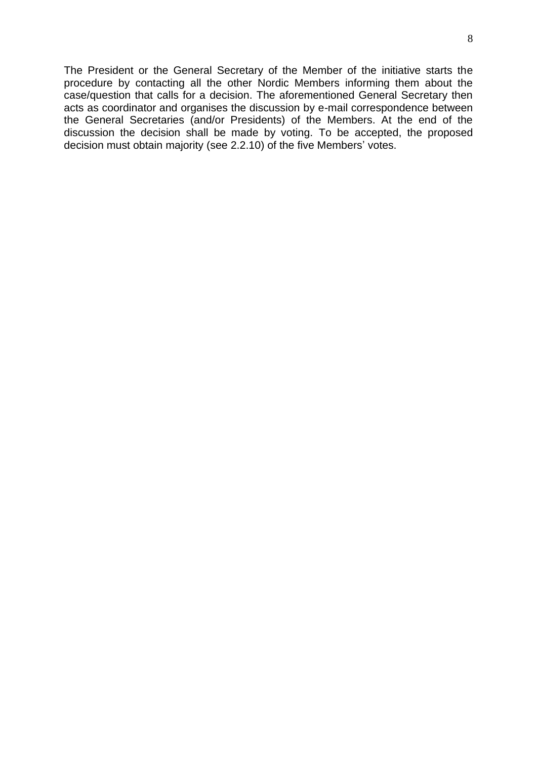The President or the General Secretary of the Member of the initiative starts the procedure by contacting all the other Nordic Members informing them about the case/question that calls for a decision. The aforementioned General Secretary then acts as coordinator and organises the discussion by e-mail correspondence between the General Secretaries (and/or Presidents) of the Members. At the end of the discussion the decision shall be made by voting. To be accepted, the proposed decision must obtain majority (see 2.2.10) of the five Members' votes.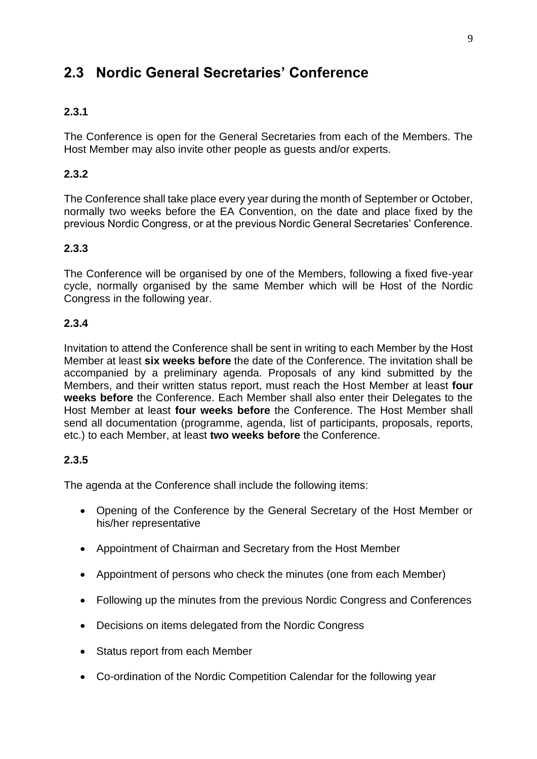# **2.3 Nordic General Secretaries' Conference**

# **2.3.1**

The Conference is open for the General Secretaries from each of the Members. The Host Member may also invite other people as guests and/or experts.

# **2.3.2**

The Conference shall take place every year during the month of September or October, normally two weeks before the EA Convention, on the date and place fixed by the previous Nordic Congress, or at the previous Nordic General Secretaries' Conference.

# **2.3.3**

The Conference will be organised by one of the Members, following a fixed five-year cycle, normally organised by the same Member which will be Host of the Nordic Congress in the following year.

#### **2.3.4**

Invitation to attend the Conference shall be sent in writing to each Member by the Host Member at least **six weeks before** the date of the Conference. The invitation shall be accompanied by a preliminary agenda. Proposals of any kind submitted by the Members, and their written status report, must reach the Host Member at least **four weeks before** the Conference. Each Member shall also enter their Delegates to the Host Member at least **four weeks before** the Conference. The Host Member shall send all documentation (programme, agenda, list of participants, proposals, reports, etc.) to each Member, at least **two weeks before** the Conference.

# **2.3.5**

The agenda at the Conference shall include the following items:

- Opening of the Conference by the General Secretary of the Host Member or his/her representative
- Appointment of Chairman and Secretary from the Host Member
- Appointment of persons who check the minutes (one from each Member)
- Following up the minutes from the previous Nordic Congress and Conferences
- Decisions on items delegated from the Nordic Congress
- Status report from each Member
- Co-ordination of the Nordic Competition Calendar for the following year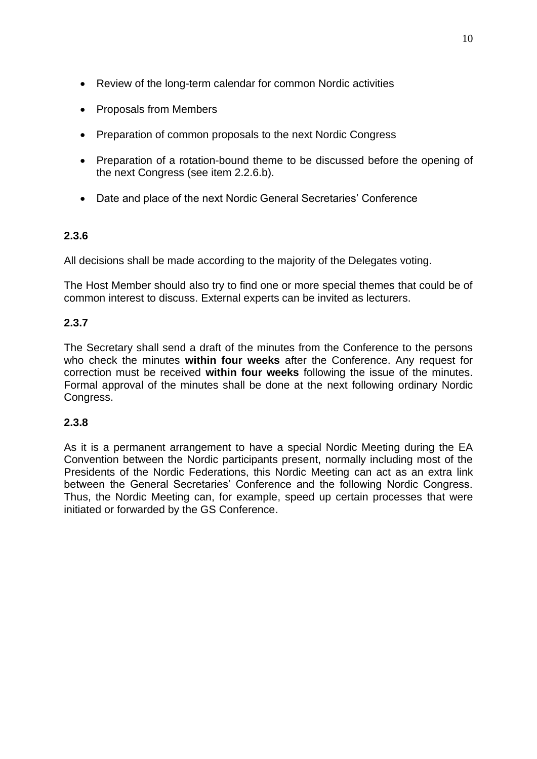- Review of the long-term calendar for common Nordic activities
- Proposals from Members
- Preparation of common proposals to the next Nordic Congress
- Preparation of a rotation-bound theme to be discussed before the opening of the next Congress (see item 2.2.6.b).
- Date and place of the next Nordic General Secretaries' Conference

# **2.3.6**

All decisions shall be made according to the majority of the Delegates voting.

The Host Member should also try to find one or more special themes that could be of common interest to discuss. External experts can be invited as lecturers.

# **2.3.7**

The Secretary shall send a draft of the minutes from the Conference to the persons who check the minutes **within four weeks** after the Conference. Any request for correction must be received **within four weeks** following the issue of the minutes. Formal approval of the minutes shall be done at the next following ordinary Nordic Congress.

# **2.3.8**

As it is a permanent arrangement to have a special Nordic Meeting during the EA Convention between the Nordic participants present, normally including most of the Presidents of the Nordic Federations, this Nordic Meeting can act as an extra link between the General Secretaries' Conference and the following Nordic Congress. Thus, the Nordic Meeting can, for example, speed up certain processes that were initiated or forwarded by the GS Conference.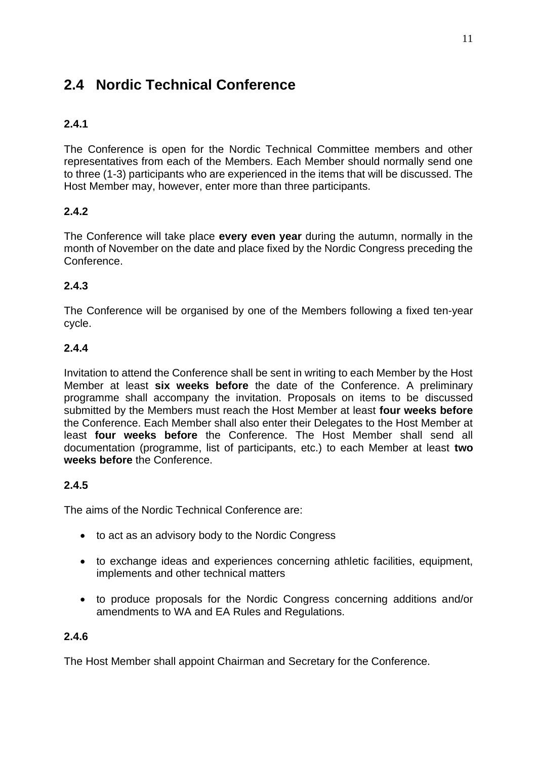# **2.4 Nordic Technical Conference**

# **2.4.1**

The Conference is open for the Nordic Technical Committee members and other representatives from each of the Members. Each Member should normally send one to three (1-3) participants who are experienced in the items that will be discussed. The Host Member may, however, enter more than three participants.

# **2.4.2**

The Conference will take place **every even year** during the autumn, normally in the month of November on the date and place fixed by the Nordic Congress preceding the Conference.

# **2.4.3**

The Conference will be organised by one of the Members following a fixed ten-year cycle.

# **2.4.4**

Invitation to attend the Conference shall be sent in writing to each Member by the Host Member at least **six weeks before** the date of the Conference. A preliminary programme shall accompany the invitation. Proposals on items to be discussed submitted by the Members must reach the Host Member at least **four weeks before** the Conference. Each Member shall also enter their Delegates to the Host Member at least **four weeks before** the Conference. The Host Member shall send all documentation (programme, list of participants, etc.) to each Member at least **two weeks before** the Conference.

# **2.4.5**

The aims of the Nordic Technical Conference are:

- to act as an advisory body to the Nordic Congress
- to exchange ideas and experiences concerning athletic facilities, equipment, implements and other technical matters
- to produce proposals for the Nordic Congress concerning additions and/or amendments to WA and EA Rules and Regulations.

# **2.4.6**

The Host Member shall appoint Chairman and Secretary for the Conference.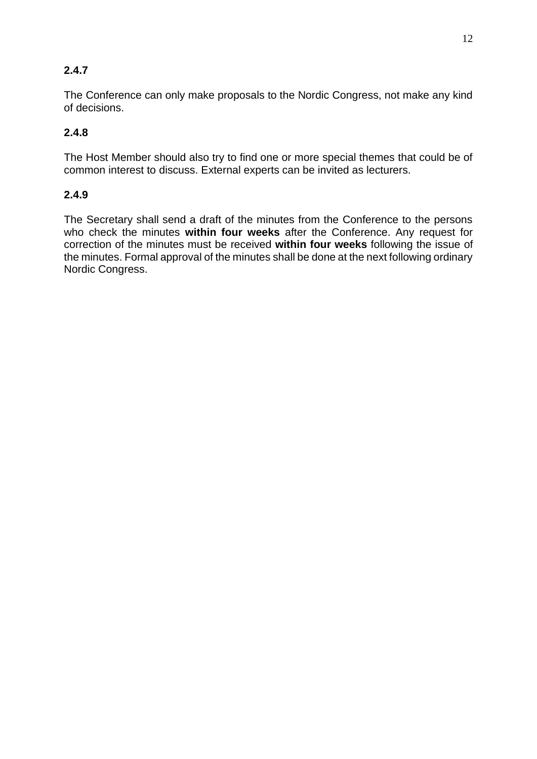# **2.4.7**

The Conference can only make proposals to the Nordic Congress, not make any kind of decisions.

# **2.4.8**

The Host Member should also try to find one or more special themes that could be of common interest to discuss. External experts can be invited as lecturers.

# **2.4.9**

The Secretary shall send a draft of the minutes from the Conference to the persons who check the minutes **within four weeks** after the Conference. Any request for correction of the minutes must be received **within four weeks** following the issue of the minutes. Formal approval of the minutes shall be done at the next following ordinary Nordic Congress.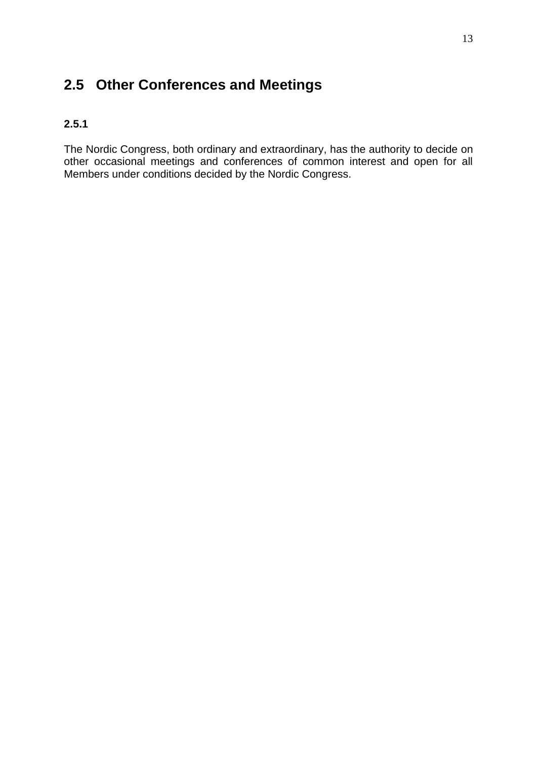# **2.5 Other Conferences and Meetings**

# **2.5.1**

The Nordic Congress, both ordinary and extraordinary, has the authority to decide on other occasional meetings and conferences of common interest and open for all Members under conditions decided by the Nordic Congress.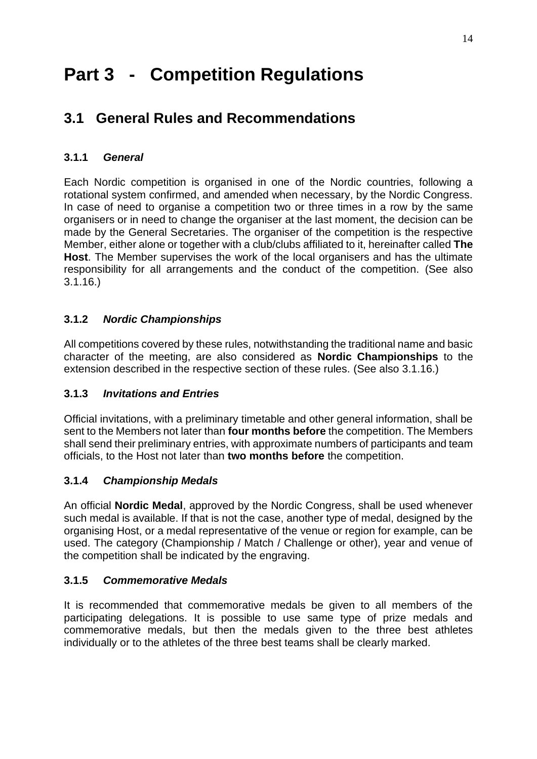# **Part 3 - Competition Regulations**

# **3.1 General Rules and Recommendations**

# **3.1.1** *General*

Each Nordic competition is organised in one of the Nordic countries, following a rotational system confirmed, and amended when necessary, by the Nordic Congress. In case of need to organise a competition two or three times in a row by the same organisers or in need to change the organiser at the last moment, the decision can be made by the General Secretaries. The organiser of the competition is the respective Member, either alone or together with a club/clubs affiliated to it, hereinafter called **The Host**. The Member supervises the work of the local organisers and has the ultimate responsibility for all arrangements and the conduct of the competition. (See also 3.1.16.)

# **3.1.2** *Nordic Championships*

All competitions covered by these rules, notwithstanding the traditional name and basic character of the meeting, are also considered as **Nordic Championships** to the extension described in the respective section of these rules. (See also 3.1.16.)

# **3.1.3** *Invitations and Entries*

Official invitations, with a preliminary timetable and other general information, shall be sent to the Members not later than **four months before** the competition. The Members shall send their preliminary entries, with approximate numbers of participants and team officials, to the Host not later than **two months before** the competition.

# **3.1.4** *Championship Medals*

An official **Nordic Medal**, approved by the Nordic Congress, shall be used whenever such medal is available. If that is not the case, another type of medal, designed by the organising Host, or a medal representative of the venue or region for example, can be used. The category (Championship / Match / Challenge or other), year and venue of the competition shall be indicated by the engraving.

# **3.1.5** *Commemorative Medals*

It is recommended that commemorative medals be given to all members of the participating delegations. It is possible to use same type of prize medals and commemorative medals, but then the medals given to the three best athletes individually or to the athletes of the three best teams shall be clearly marked.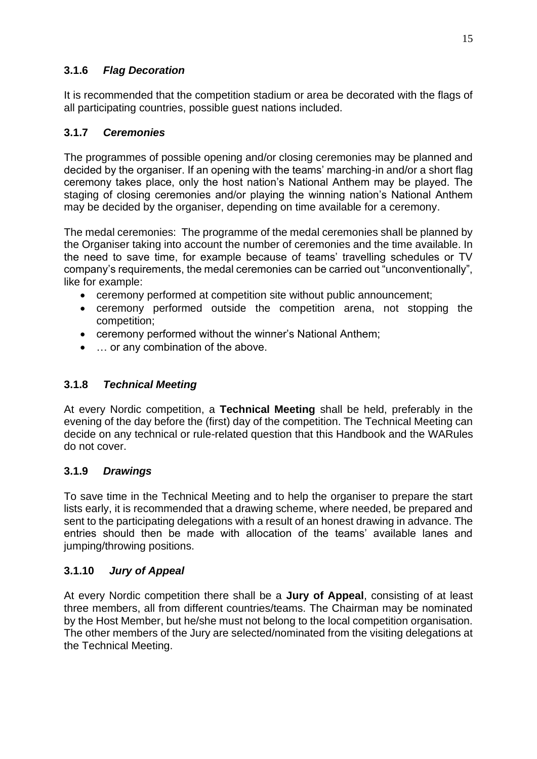# **3.1.6** *Flag Decoration*

It is recommended that the competition stadium or area be decorated with the flags of all participating countries, possible guest nations included.

# **3.1.7** *Ceremonies*

The programmes of possible opening and/or closing ceremonies may be planned and decided by the organiser. If an opening with the teams' marching-in and/or a short flag ceremony takes place, only the host nation's National Anthem may be played. The staging of closing ceremonies and/or playing the winning nation's National Anthem may be decided by the organiser, depending on time available for a ceremony.

The medal ceremonies: The programme of the medal ceremonies shall be planned by the Organiser taking into account the number of ceremonies and the time available. In the need to save time, for example because of teams' travelling schedules or TV company's requirements, the medal ceremonies can be carried out "unconventionally", like for example:

- ceremony performed at competition site without public announcement;
- ceremony performed outside the competition arena, not stopping the competition;
- ceremony performed without the winner's National Anthem;
- ... or any combination of the above.

# **3.1.8** *Technical Meeting*

At every Nordic competition, a **Technical Meeting** shall be held, preferably in the evening of the day before the (first) day of the competition. The Technical Meeting can decide on any technical or rule-related question that this Handbook and the WARules do not cover.

# **3.1.9** *Drawings*

To save time in the Technical Meeting and to help the organiser to prepare the start lists early, it is recommended that a drawing scheme, where needed, be prepared and sent to the participating delegations with a result of an honest drawing in advance. The entries should then be made with allocation of the teams' available lanes and jumping/throwing positions.

# **3.1.10** *Jury of Appeal*

At every Nordic competition there shall be a **Jury of Appeal**, consisting of at least three members, all from different countries/teams. The Chairman may be nominated by the Host Member, but he/she must not belong to the local competition organisation. The other members of the Jury are selected/nominated from the visiting delegations at the Technical Meeting.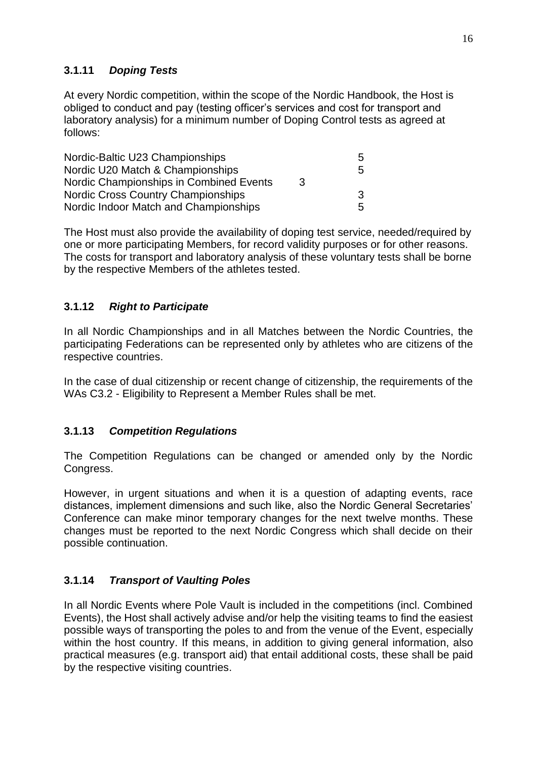# **3.1.11** *Doping Tests*

At every Nordic competition, within the scope of the Nordic Handbook, the Host is obliged to conduct and pay (testing officer's services and cost for transport and laboratory analysis) for a minimum number of Doping Control tests as agreed at follows:

| Nordic-Baltic U23 Championships         |   | 5 |
|-----------------------------------------|---|---|
| Nordic U20 Match & Championships        |   | 5 |
| Nordic Championships in Combined Events | 3 |   |
| Nordic Cross Country Championships      |   | 3 |
| Nordic Indoor Match and Championships   |   | 5 |

The Host must also provide the availability of doping test service, needed/required by one or more participating Members, for record validity purposes or for other reasons. The costs for transport and laboratory analysis of these voluntary tests shall be borne by the respective Members of the athletes tested.

# **3.1.12** *Right to Participate*

In all Nordic Championships and in all Matches between the Nordic Countries, the participating Federations can be represented only by athletes who are citizens of the respective countries.

In the case of dual citizenship or recent change of citizenship, the requirements of the WAs C3.2 - Eligibility to Represent a Member Rules shall be met.

# **3.1.13** *Competition Regulations*

The Competition Regulations can be changed or amended only by the Nordic Congress.

However, in urgent situations and when it is a question of adapting events, race distances, implement dimensions and such like, also the Nordic General Secretaries' Conference can make minor temporary changes for the next twelve months. These changes must be reported to the next Nordic Congress which shall decide on their possible continuation.

# **3.1.14** *Transport of Vaulting Poles*

In all Nordic Events where Pole Vault is included in the competitions (incl. Combined Events), the Host shall actively advise and/or help the visiting teams to find the easiest possible ways of transporting the poles to and from the venue of the Event, especially within the host country. If this means, in addition to giving general information, also practical measures (e.g. transport aid) that entail additional costs, these shall be paid by the respective visiting countries.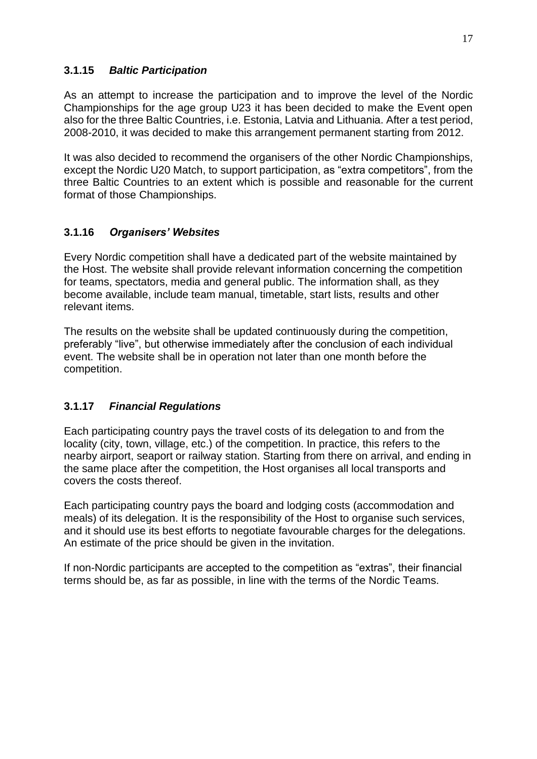#### **3.1.15** *Baltic Participation*

As an attempt to increase the participation and to improve the level of the Nordic Championships for the age group U23 it has been decided to make the Event open also for the three Baltic Countries, i.e. Estonia, Latvia and Lithuania. After a test period, 2008-2010, it was decided to make this arrangement permanent starting from 2012.

It was also decided to recommend the organisers of the other Nordic Championships, except the Nordic U20 Match, to support participation, as "extra competitors", from the three Baltic Countries to an extent which is possible and reasonable for the current format of those Championships.

# **3.1.16** *Organisers' Websites*

Every Nordic competition shall have a dedicated part of the website maintained by the Host. The website shall provide relevant information concerning the competition for teams, spectators, media and general public. The information shall, as they become available, include team manual, timetable, start lists, results and other relevant items.

The results on the website shall be updated continuously during the competition, preferably "live", but otherwise immediately after the conclusion of each individual event. The website shall be in operation not later than one month before the competition.

# **3.1.17** *Financial Regulations*

Each participating country pays the travel costs of its delegation to and from the locality (city, town, village, etc.) of the competition. In practice, this refers to the nearby airport, seaport or railway station. Starting from there on arrival, and ending in the same place after the competition, the Host organises all local transports and covers the costs thereof.

Each participating country pays the board and lodging costs (accommodation and meals) of its delegation. It is the responsibility of the Host to organise such services, and it should use its best efforts to negotiate favourable charges for the delegations. An estimate of the price should be given in the invitation.

If non-Nordic participants are accepted to the competition as "extras", their financial terms should be, as far as possible, in line with the terms of the Nordic Teams.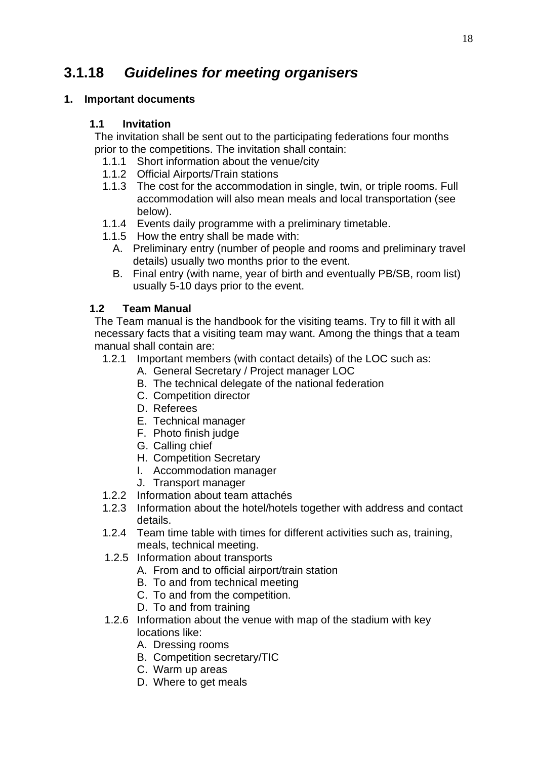# **3.1.18** *Guidelines for meeting organisers*

# **1. Important documents**

#### **1.1 Invitation**

The invitation shall be sent out to the participating federations four months prior to the competitions. The invitation shall contain:

- 1.1.1 Short information about the venue/city
- 1.1.2 Official Airports/Train stations
- 1.1.3 The cost for the accommodation in single, twin, or triple rooms. Full accommodation will also mean meals and local transportation (see below).
- 1.1.4 Events daily programme with a preliminary timetable.
- 1.1.5 How the entry shall be made with:
	- A. Preliminary entry (number of people and rooms and preliminary travel details) usually two months prior to the event.
	- B. Final entry (with name, year of birth and eventually PB/SB, room list) usually 5-10 days prior to the event.

# **1.2 Team Manual**

The Team manual is the handbook for the visiting teams. Try to fill it with all necessary facts that a visiting team may want. Among the things that a team manual shall contain are:

- 1.2.1 Important members (with contact details) of the LOC such as:
	- A. General Secretary / Project manager LOC
	- B. The technical delegate of the national federation
	- C. Competition director
	- D. Referees
	- E. Technical manager
	- F. Photo finish judge
	- G. Calling chief
	- H. Competition Secretary
	- I. Accommodation manager
	- J. Transport manager
- 1.2.2 Information about team attachés
- 1.2.3 Information about the hotel/hotels together with address and contact details.
- 1.2.4 Team time table with times for different activities such as, training, meals, technical meeting.
- 1.2.5 Information about transports
	- A. From and to official airport/train station
	- B. To and from technical meeting
	- C. To and from the competition.
	- D. To and from training
- 1.2.6 Information about the venue with map of the stadium with key locations like:
	- A. Dressing rooms
	- B. Competition secretary/TIC
	- C. Warm up areas
	- D. Where to get meals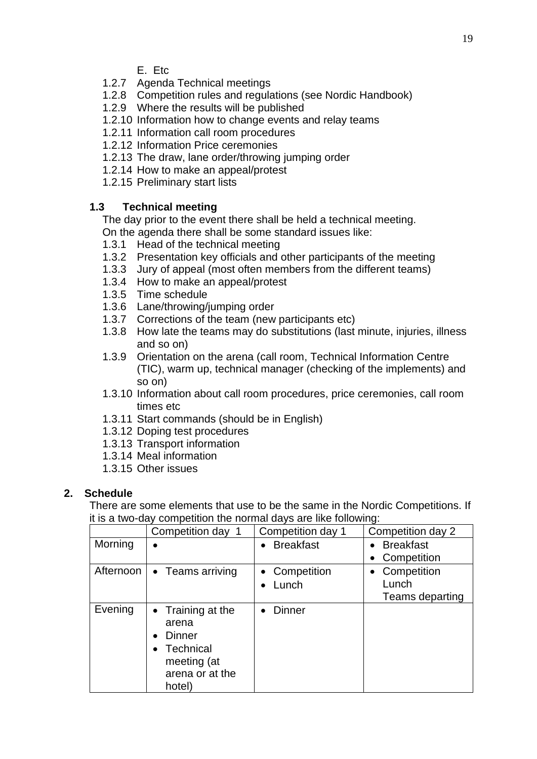- E. Etc
- 1.2.7 Agenda Technical meetings
- 1.2.8 Competition rules and regulations (see Nordic Handbook)
- 1.2.9 Where the results will be published
- 1.2.10 Information how to change events and relay teams
- 1.2.11 Information call room procedures
- 1.2.12 Information Price ceremonies
- 1.2.13 The draw, lane order/throwing jumping order
- 1.2.14 How to make an appeal/protest
- 1.2.15 Preliminary start lists

# **1.3 Technical meeting**

The day prior to the event there shall be held a technical meeting. On the agenda there shall be some standard issues like:

- 1.3.1 Head of the technical meeting
- 1.3.2 Presentation key officials and other participants of the meeting
- 1.3.3 Jury of appeal (most often members from the different teams)
- 1.3.4 How to make an appeal/protest
- 1.3.5 Time schedule
- 1.3.6 Lane/throwing/jumping order
- 1.3.7 Corrections of the team (new participants etc)
- 1.3.8 How late the teams may do substitutions (last minute, injuries, illness and so on)
- 1.3.9 Orientation on the arena (call room, Technical Information Centre (TIC), warm up, technical manager (checking of the implements) and so on)
- 1.3.10 Information about call room procedures, price ceremonies, call room times etc
- 1.3.11 Start commands (should be in English)
- 1.3.12 Doping test procedures
- 1.3.13 Transport information
- 1.3.14 Meal information
- 1.3.15 Other issues

# **2. Schedule**

There are some elements that use to be the same in the Nordic Competitions. If it is a two-day competition the normal days are like following:

|           | Competition day 1                                                                                  | Competition day 1 | Competition day 2        |
|-----------|----------------------------------------------------------------------------------------------------|-------------------|--------------------------|
| Morning   |                                                                                                    | <b>Breakfast</b>  | <b>Breakfast</b>         |
|           |                                                                                                    |                   | Competition              |
| Afternoon | • Teams arriving                                                                                   | Competition       | Competition<br>$\bullet$ |
|           |                                                                                                    | Lunch             | Lunch                    |
|           |                                                                                                    |                   | Teams departing          |
| Evening   | Training at the<br>arena<br>Dinner<br><b>Technical</b><br>meeting (at<br>arena or at the<br>hotel) | <b>Dinner</b>     |                          |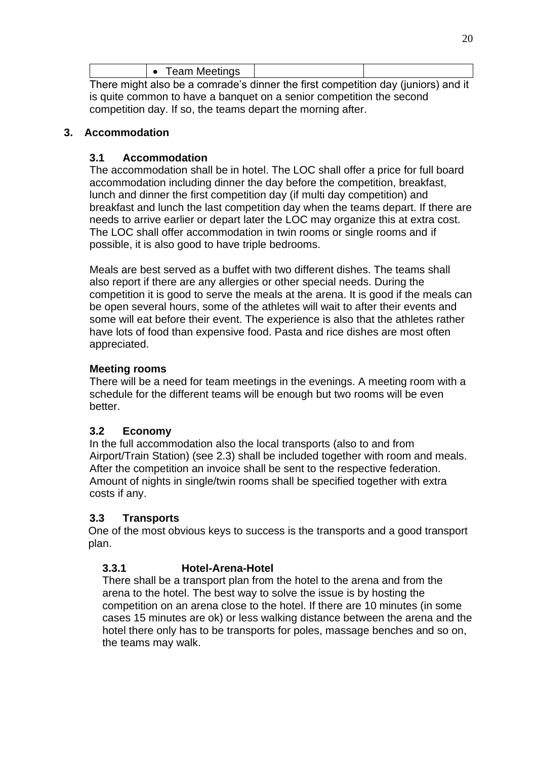|                                                                                   | <b>Team Meetings</b> |  |  |  |
|-----------------------------------------------------------------------------------|----------------------|--|--|--|
| There might also be a comrade's dinner the first competition day (juniors) and it |                      |  |  |  |

There might also be a comrade's dinner the first competition day (juniors) and it is quite common to have a banquet on a senior competition the second competition day. If so, the teams depart the morning after.

# **3. Accommodation**

# **3.1 Accommodation**

The accommodation shall be in hotel. The LOC shall offer a price for full board accommodation including dinner the day before the competition, breakfast, lunch and dinner the first competition day (if multi day competition) and breakfast and lunch the last competition day when the teams depart. If there are needs to arrive earlier or depart later the LOC may organize this at extra cost. The LOC shall offer accommodation in twin rooms or single rooms and if possible, it is also good to have triple bedrooms.

Meals are best served as a buffet with two different dishes. The teams shall also report if there are any allergies or other special needs. During the competition it is good to serve the meals at the arena. It is good if the meals can be open several hours, some of the athletes will wait to after their events and some will eat before their event. The experience is also that the athletes rather have lots of food than expensive food. Pasta and rice dishes are most often appreciated.

# **Meeting rooms**

There will be a need for team meetings in the evenings. A meeting room with a schedule for the different teams will be enough but two rooms will be even better.

# **3.2 Economy**

In the full accommodation also the local transports (also to and from Airport/Train Station) (see 2.3) shall be included together with room and meals. After the competition an invoice shall be sent to the respective federation. Amount of nights in single/twin rooms shall be specified together with extra costs if any.

# **3.3 Transports**

One of the most obvious keys to success is the transports and a good transport plan.

# **3.3.1 Hotel-Arena-Hotel**

There shall be a transport plan from the hotel to the arena and from the arena to the hotel. The best way to solve the issue is by hosting the competition on an arena close to the hotel. If there are 10 minutes (in some cases 15 minutes are ok) or less walking distance between the arena and the hotel there only has to be transports for poles, massage benches and so on, the teams may walk.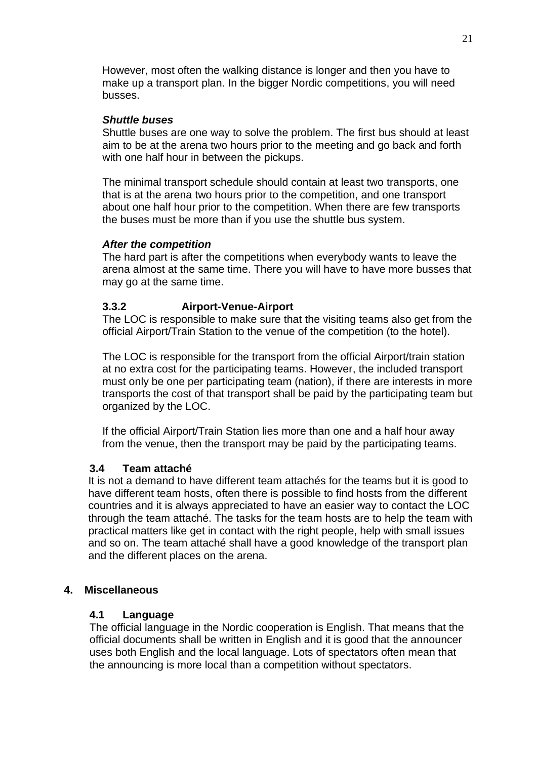However, most often the walking distance is longer and then you have to make up a transport plan. In the bigger Nordic competitions, you will need busses.

#### *Shuttle buses*

Shuttle buses are one way to solve the problem. The first bus should at least aim to be at the arena two hours prior to the meeting and go back and forth with one half hour in between the pickups.

The minimal transport schedule should contain at least two transports, one that is at the arena two hours prior to the competition, and one transport about one half hour prior to the competition. When there are few transports the buses must be more than if you use the shuttle bus system.

#### *After the competition*

The hard part is after the competitions when everybody wants to leave the arena almost at the same time. There you will have to have more busses that may go at the same time.

#### **3.3.2 Airport-Venue-Airport**

The LOC is responsible to make sure that the visiting teams also get from the official Airport/Train Station to the venue of the competition (to the hotel).

The LOC is responsible for the transport from the official Airport/train station at no extra cost for the participating teams. However, the included transport must only be one per participating team (nation), if there are interests in more transports the cost of that transport shall be paid by the participating team but organized by the LOC.

If the official Airport/Train Station lies more than one and a half hour away from the venue, then the transport may be paid by the participating teams.

#### **3.4 Team attaché**

It is not a demand to have different team attachés for the teams but it is good to have different team hosts, often there is possible to find hosts from the different countries and it is always appreciated to have an easier way to contact the LOC through the team attaché. The tasks for the team hosts are to help the team with practical matters like get in contact with the right people, help with small issues and so on. The team attaché shall have a good knowledge of the transport plan and the different places on the arena.

#### **4. Miscellaneous**

#### **4.1 Language**

The official language in the Nordic cooperation is English. That means that the official documents shall be written in English and it is good that the announcer uses both English and the local language. Lots of spectators often mean that the announcing is more local than a competition without spectators.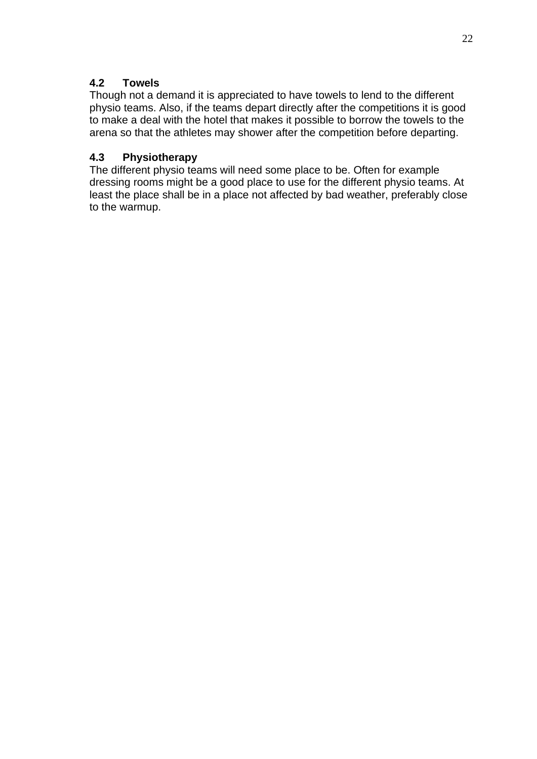# **4.2 Towels**

Though not a demand it is appreciated to have towels to lend to the different physio teams. Also, if the teams depart directly after the competitions it is good to make a deal with the hotel that makes it possible to borrow the towels to the arena so that the athletes may shower after the competition before departing.

# **4.3 Physiotherapy**

The different physio teams will need some place to be. Often for example dressing rooms might be a good place to use for the different physio teams. At least the place shall be in a place not affected by bad weather, preferably close to the warmup.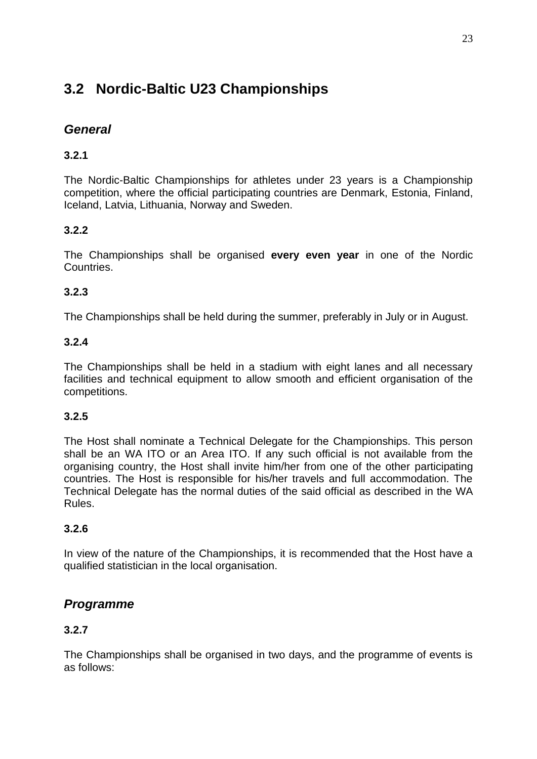# **3.2 Nordic-Baltic U23 Championships**

# *General*

# **3.2.1**

The Nordic-Baltic Championships for athletes under 23 years is a Championship competition, where the official participating countries are Denmark, Estonia, Finland, Iceland, Latvia, Lithuania, Norway and Sweden.

# **3.2.2**

The Championships shall be organised **every even year** in one of the Nordic Countries.

# **3.2.3**

The Championships shall be held during the summer, preferably in July or in August.

# **3.2.4**

The Championships shall be held in a stadium with eight lanes and all necessary facilities and technical equipment to allow smooth and efficient organisation of the competitions.

# **3.2.5**

The Host shall nominate a Technical Delegate for the Championships. This person shall be an WA ITO or an Area ITO. If any such official is not available from the organising country, the Host shall invite him/her from one of the other participating countries. The Host is responsible for his/her travels and full accommodation. The Technical Delegate has the normal duties of the said official as described in the WA Rules.

# **3.2.6**

In view of the nature of the Championships, it is recommended that the Host have a qualified statistician in the local organisation.

# *Programme*

# **3.2.7**

The Championships shall be organised in two days, and the programme of events is as follows: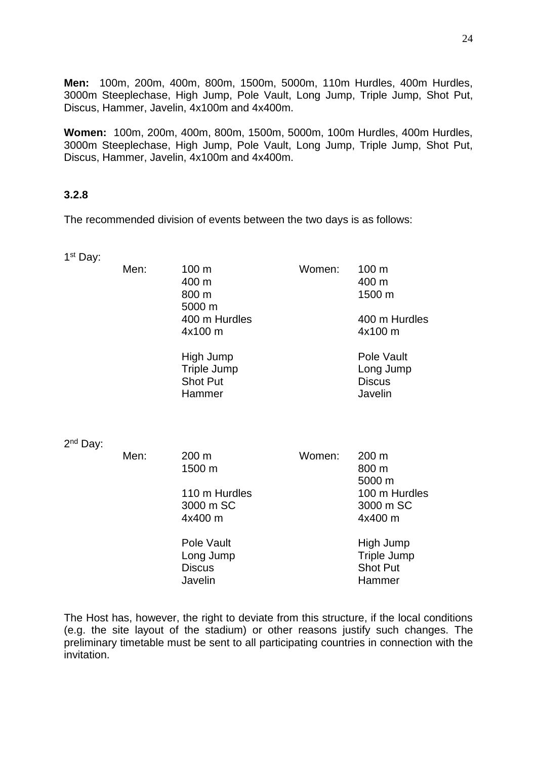**Men:** 100m, 200m, 400m, 800m, 1500m, 5000m, 110m Hurdles, 400m Hurdles, 3000m Steeplechase, High Jump, Pole Vault, Long Jump, Triple Jump, Shot Put, Discus, Hammer, Javelin, 4x100m and 4x400m.

**Women:** 100m, 200m, 400m, 800m, 1500m, 5000m, 100m Hurdles, 400m Hurdles, 3000m Steeplechase, High Jump, Pole Vault, Long Jump, Triple Jump, Shot Put, Discus, Hammer, Javelin, 4x100m and 4x400m.

# **3.2.8**

The recommended division of events between the two days is as follows:

| 1 <sup>st</sup> Day: |      |                                                               |        |                                                       |
|----------------------|------|---------------------------------------------------------------|--------|-------------------------------------------------------|
|                      | Men: | 100 m<br>400 m<br>800 m<br>5000 m<br>400 m Hurdles<br>4x100 m | Women: | 100 m<br>400 m<br>1500 m<br>400 m Hurdles<br>4x100 m  |
|                      |      | High Jump<br><b>Triple Jump</b><br><b>Shot Put</b><br>Hammer  |        | Pole Vault<br>Long Jump<br><b>Discus</b><br>Javelin   |
| 2 <sup>nd</sup> Day: | Men: | $200 \text{ m}$                                               | Women: | 200 m                                                 |
|                      |      | 1500 m                                                        |        | 800 m<br>5000 m                                       |
|                      |      | 110 m Hurdles<br>3000 m SC<br>4x400 m                         |        | 100 m Hurdles<br>3000 m SC<br>4x400 m                 |
|                      |      | Pole Vault<br>Long Jump<br><b>Discus</b><br>Javelin           |        | High Jump<br>Triple Jump<br><b>Shot Put</b><br>Hammer |

The Host has, however, the right to deviate from this structure, if the local conditions (e.g. the site layout of the stadium) or other reasons justify such changes. The preliminary timetable must be sent to all participating countries in connection with the invitation.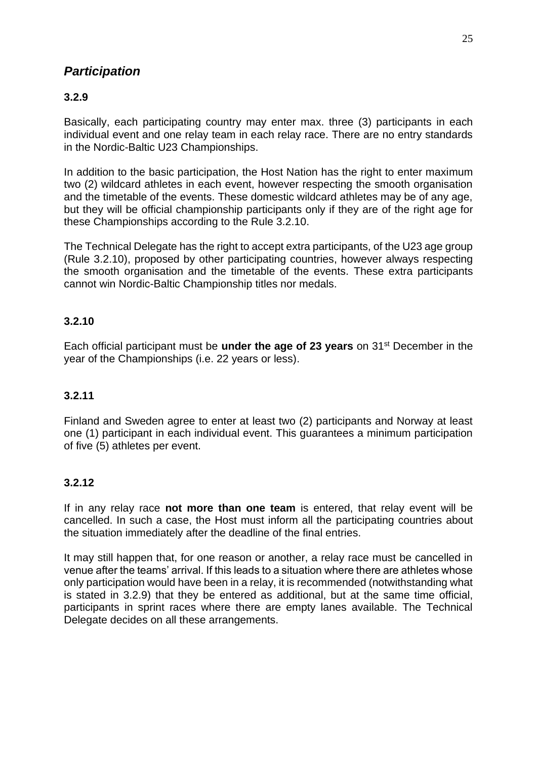# *Participation*

# **3.2.9**

Basically, each participating country may enter max. three (3) participants in each individual event and one relay team in each relay race. There are no entry standards in the Nordic-Baltic U23 Championships.

In addition to the basic participation, the Host Nation has the right to enter maximum two (2) wildcard athletes in each event, however respecting the smooth organisation and the timetable of the events. These domestic wildcard athletes may be of any age, but they will be official championship participants only if they are of the right age for these Championships according to the Rule 3.2.10.

The Technical Delegate has the right to accept extra participants, of the U23 age group (Rule 3.2.10), proposed by other participating countries, however always respecting the smooth organisation and the timetable of the events. These extra participants cannot win Nordic-Baltic Championship titles nor medals.

# **3.2.10**

Each official participant must be **under the age of 23 years** on 31st December in the year of the Championships (i.e. 22 years or less).

# **3.2.11**

Finland and Sweden agree to enter at least two (2) participants and Norway at least one (1) participant in each individual event. This guarantees a minimum participation of five (5) athletes per event.

# **3.2.12**

If in any relay race **not more than one team** is entered, that relay event will be cancelled. In such a case, the Host must inform all the participating countries about the situation immediately after the deadline of the final entries.

It may still happen that, for one reason or another, a relay race must be cancelled in venue after the teams' arrival. If this leads to a situation where there are athletes whose only participation would have been in a relay, it is recommended (notwithstanding what is stated in 3.2.9) that they be entered as additional, but at the same time official, participants in sprint races where there are empty lanes available. The Technical Delegate decides on all these arrangements.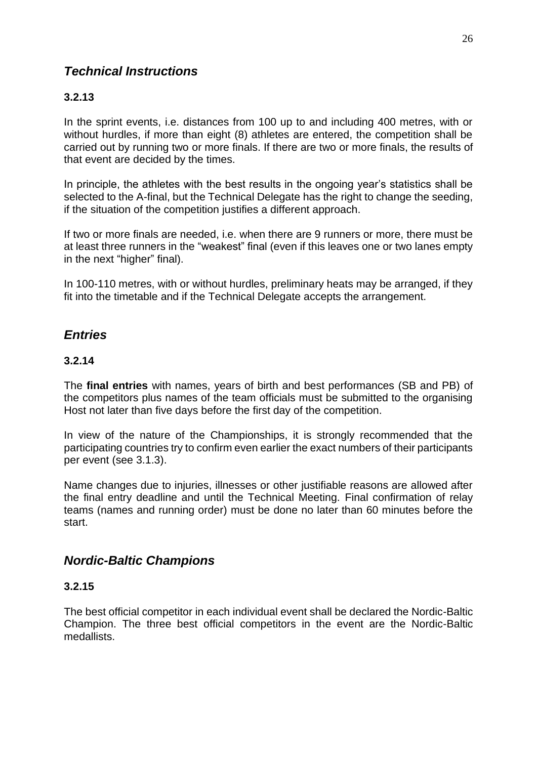# *Technical Instructions*

# **3.2.13**

In the sprint events, i.e. distances from 100 up to and including 400 metres, with or without hurdles, if more than eight (8) athletes are entered, the competition shall be carried out by running two or more finals. If there are two or more finals, the results of that event are decided by the times.

In principle, the athletes with the best results in the ongoing year's statistics shall be selected to the A-final, but the Technical Delegate has the right to change the seeding, if the situation of the competition justifies a different approach.

If two or more finals are needed, i.e. when there are 9 runners or more, there must be at least three runners in the "weakest" final (even if this leaves one or two lanes empty in the next "higher" final).

In 100-110 metres, with or without hurdles, preliminary heats may be arranged, if they fit into the timetable and if the Technical Delegate accepts the arrangement.

# *Entries*

# **3.2.14**

The **final entries** with names, years of birth and best performances (SB and PB) of the competitors plus names of the team officials must be submitted to the organising Host not later than five days before the first day of the competition.

In view of the nature of the Championships, it is strongly recommended that the participating countries try to confirm even earlier the exact numbers of their participants per event (see 3.1.3).

Name changes due to injuries, illnesses or other justifiable reasons are allowed after the final entry deadline and until the Technical Meeting. Final confirmation of relay teams (names and running order) must be done no later than 60 minutes before the start.

# *Nordic-Baltic Champions*

# **3.2.15**

The best official competitor in each individual event shall be declared the Nordic-Baltic Champion. The three best official competitors in the event are the Nordic-Baltic medallists.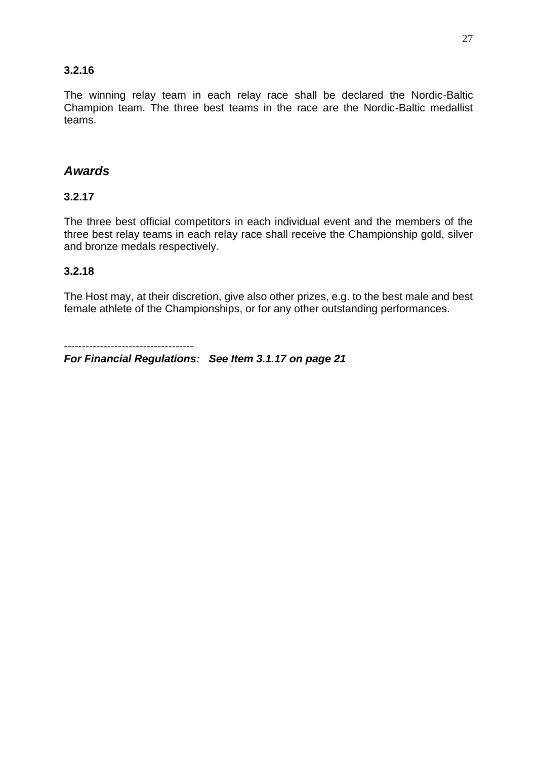#### **3.2.16**

The winning relay team in each relay race shall be declared the Nordic-Baltic Champion team. The three best teams in the race are the Nordic-Baltic medallist teams.

# *Awards*

#### **3.2.17**

The three best official competitors in each individual event and the members of the three best relay teams in each relay race shall receive the Championship gold, silver and bronze medals respectively.

#### **3.2.18**

The Host may, at their discretion, give also other prizes, e.g. to the best male and best female athlete of the Championships, or for any other outstanding performances.

------------------------------------

*For Financial Regulations: See Item 3.1.17 on page 21*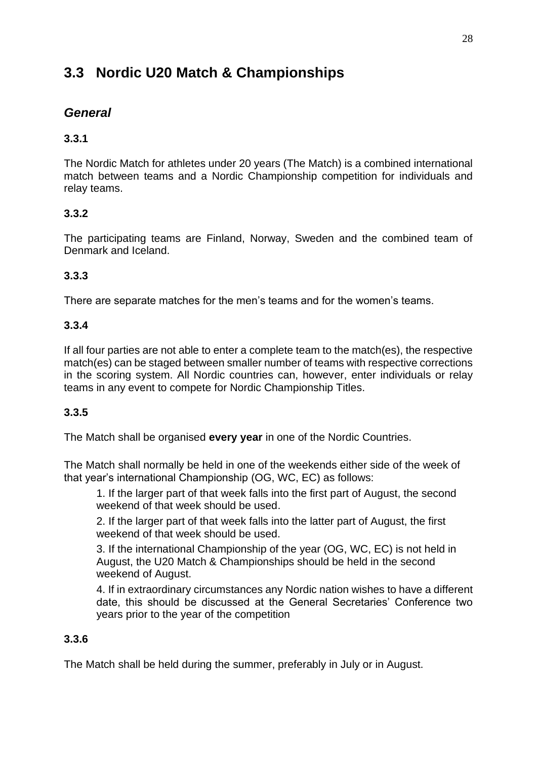# **3.3 Nordic U20 Match & Championships**

# *General*

# **3.3.1**

The Nordic Match for athletes under 20 years (The Match) is a combined international match between teams and a Nordic Championship competition for individuals and relay teams.

# **3.3.2**

The participating teams are Finland, Norway, Sweden and the combined team of Denmark and Iceland.

# **3.3.3**

There are separate matches for the men's teams and for the women's teams.

# **3.3.4**

If all four parties are not able to enter a complete team to the match(es), the respective match(es) can be staged between smaller number of teams with respective corrections in the scoring system. All Nordic countries can, however, enter individuals or relay teams in any event to compete for Nordic Championship Titles.

# **3.3.5**

The Match shall be organised **every year** in one of the Nordic Countries.

The Match shall normally be held in one of the weekends either side of the week of that year's international Championship (OG, WC, EC) as follows:

1. If the larger part of that week falls into the first part of August, the second weekend of that week should be used.

2. If the larger part of that week falls into the latter part of August, the first weekend of that week should be used.

3. If the international Championship of the year (OG, WC, EC) is not held in August, the U20 Match & Championships should be held in the second weekend of August.

4. If in extraordinary circumstances any Nordic nation wishes to have a different date, this should be discussed at the General Secretaries' Conference two years prior to the year of the competition

# **3.3.6**

The Match shall be held during the summer, preferably in July or in August.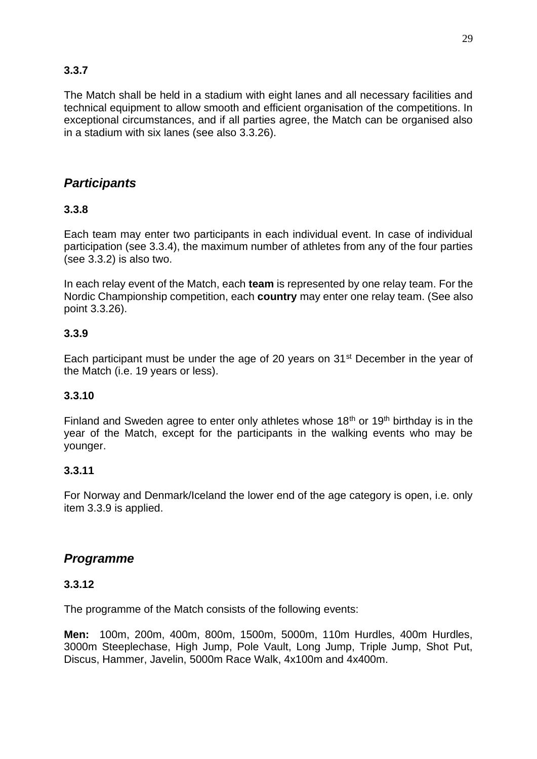# **3.3.7**

The Match shall be held in a stadium with eight lanes and all necessary facilities and technical equipment to allow smooth and efficient organisation of the competitions. In exceptional circumstances, and if all parties agree, the Match can be organised also in a stadium with six lanes (see also 3.3.26).

# *Participants*

# **3.3.8**

Each team may enter two participants in each individual event. In case of individual participation (see 3.3.4), the maximum number of athletes from any of the four parties (see 3.3.2) is also two.

In each relay event of the Match, each **team** is represented by one relay team. For the Nordic Championship competition, each **country** may enter one relay team. (See also point 3.3.26).

# **3.3.9**

Each participant must be under the age of 20 years on 31<sup>st</sup> December in the year of the Match (i.e. 19 years or less).

# **3.3.10**

Finland and Sweden agree to enter only athletes whose  $18<sup>th</sup>$  or  $19<sup>th</sup>$  birthday is in the year of the Match, except for the participants in the walking events who may be younger.

# **3.3.11**

For Norway and Denmark/Iceland the lower end of the age category is open, i.e. only item 3.3.9 is applied.

# *Programme*

#### **3.3.12**

The programme of the Match consists of the following events:

**Men:** 100m, 200m, 400m, 800m, 1500m, 5000m, 110m Hurdles, 400m Hurdles, 3000m Steeplechase, High Jump, Pole Vault, Long Jump, Triple Jump, Shot Put, Discus, Hammer, Javelin, 5000m Race Walk, 4x100m and 4x400m.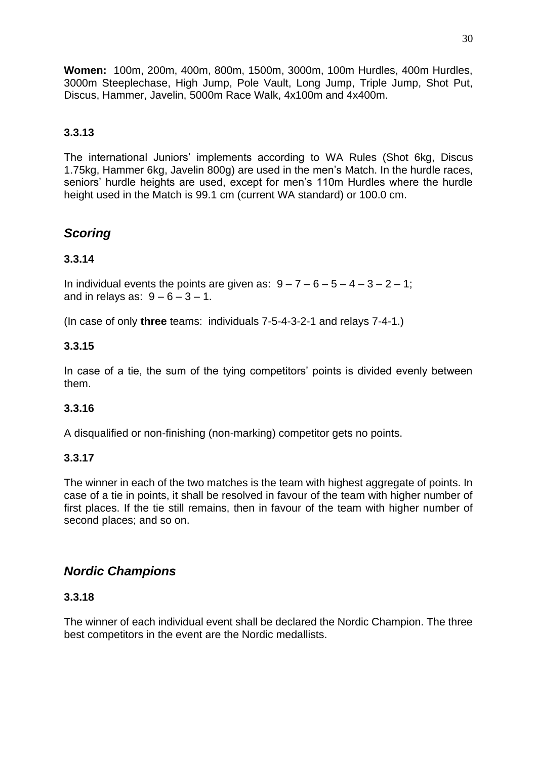**Women:** 100m, 200m, 400m, 800m, 1500m, 3000m, 100m Hurdles, 400m Hurdles, 3000m Steeplechase, High Jump, Pole Vault, Long Jump, Triple Jump, Shot Put, Discus, Hammer, Javelin, 5000m Race Walk, 4x100m and 4x400m.

# **3.3.13**

The international Juniors' implements according to WA Rules (Shot 6kg, Discus 1.75kg, Hammer 6kg, Javelin 800g) are used in the men's Match. In the hurdle races, seniors' hurdle heights are used, except for men's 110m Hurdles where the hurdle height used in the Match is 99.1 cm (current WA standard) or 100.0 cm.

# *Scoring*

# **3.3.14**

In individual events the points are given as:  $9 - 7 - 6 - 5 - 4 - 3 - 2 - 1$ ; and in relays as:  $9-6-3-1$ .

(In case of only **three** teams: individuals 7-5-4-3-2-1 and relays 7-4-1.)

#### **3.3.15**

In case of a tie, the sum of the tying competitors' points is divided evenly between them.

#### **3.3.16**

A disqualified or non-finishing (non-marking) competitor gets no points.

#### **3.3.17**

The winner in each of the two matches is the team with highest aggregate of points. In case of a tie in points, it shall be resolved in favour of the team with higher number of first places. If the tie still remains, then in favour of the team with higher number of second places; and so on.

# *Nordic Champions*

#### **3.3.18**

The winner of each individual event shall be declared the Nordic Champion. The three best competitors in the event are the Nordic medallists.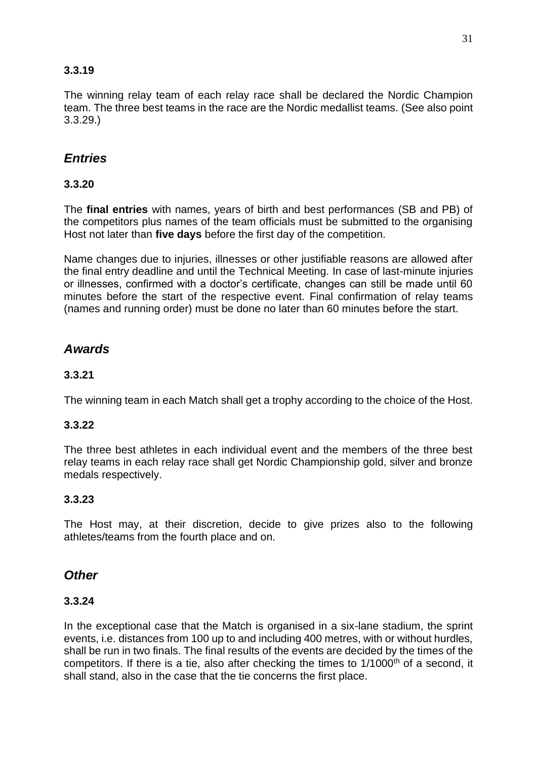# **3.3.19**

The winning relay team of each relay race shall be declared the Nordic Champion team. The three best teams in the race are the Nordic medallist teams. (See also point 3.3.29.)

# *Entries*

# **3.3.20**

The **final entries** with names, years of birth and best performances (SB and PB) of the competitors plus names of the team officials must be submitted to the organising Host not later than **five days** before the first day of the competition.

Name changes due to injuries, illnesses or other justifiable reasons are allowed after the final entry deadline and until the Technical Meeting. In case of last-minute injuries or illnesses, confirmed with a doctor's certificate, changes can still be made until 60 minutes before the start of the respective event. Final confirmation of relay teams (names and running order) must be done no later than 60 minutes before the start.

# *Awards*

# **3.3.21**

The winning team in each Match shall get a trophy according to the choice of the Host.

# **3.3.22**

The three best athletes in each individual event and the members of the three best relay teams in each relay race shall get Nordic Championship gold, silver and bronze medals respectively.

# **3.3.23**

The Host may, at their discretion, decide to give prizes also to the following athletes/teams from the fourth place and on.

# *Other*

#### **3.3.24**

In the exceptional case that the Match is organised in a six-lane stadium, the sprint events, i.e. distances from 100 up to and including 400 metres, with or without hurdles, shall be run in two finals. The final results of the events are decided by the times of the competitors. If there is a tie, also after checking the times to 1/1000<sup>th</sup> of a second, it shall stand, also in the case that the tie concerns the first place.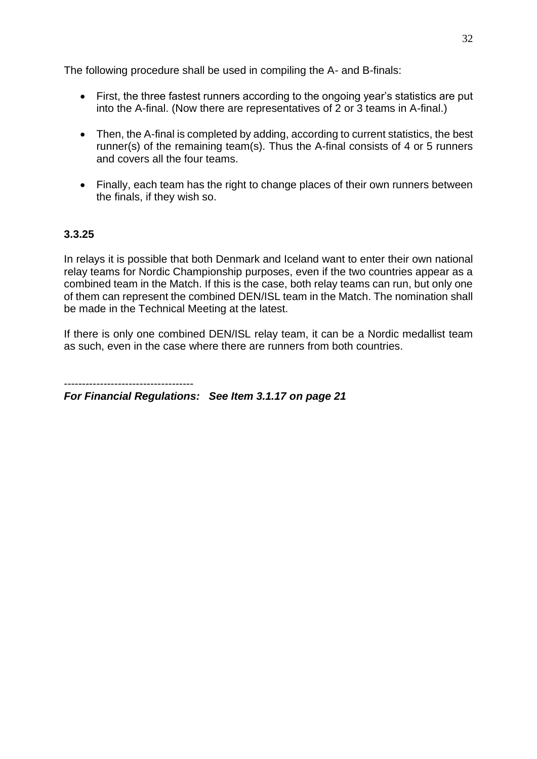The following procedure shall be used in compiling the A- and B-finals:

- First, the three fastest runners according to the ongoing year's statistics are put into the A-final. (Now there are representatives of 2 or 3 teams in A-final.)
- Then, the A-final is completed by adding, according to current statistics, the best runner(s) of the remaining team(s). Thus the A-final consists of 4 or 5 runners and covers all the four teams.
- Finally, each team has the right to change places of their own runners between the finals, if they wish so.

# **3.3.25**

In relays it is possible that both Denmark and Iceland want to enter their own national relay teams for Nordic Championship purposes, even if the two countries appear as a combined team in the Match. If this is the case, both relay teams can run, but only one of them can represent the combined DEN/ISL team in the Match. The nomination shall be made in the Technical Meeting at the latest.

If there is only one combined DEN/ISL relay team, it can be a Nordic medallist team as such, even in the case where there are runners from both countries.

*For Financial Regulations: See Item 3.1.17 on page 21*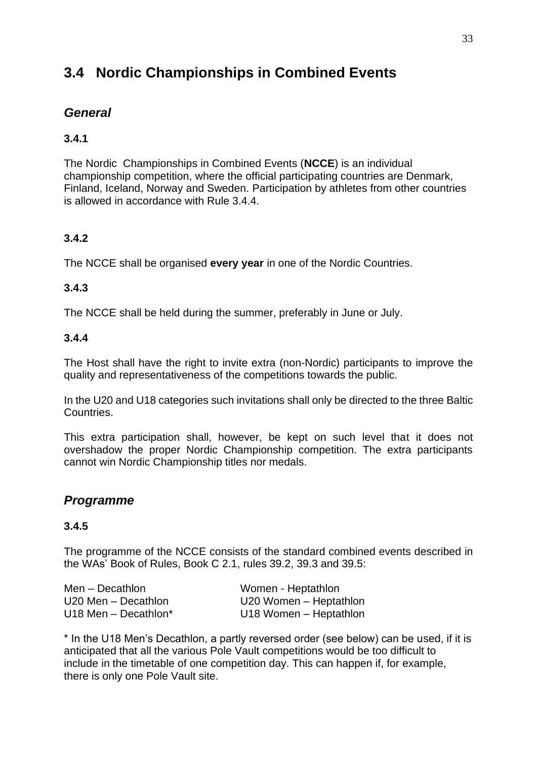# **3.4 Nordic Championships in Combined Events**

# *General*

# **3.4.1**

The Nordic Championships in Combined Events (**NCCE**) is an individual championship competition, where the official participating countries are Denmark, Finland, Iceland, Norway and Sweden. Participation by athletes from other countries is allowed in accordance with Rule 3.4.4.

# **3.4.2**

The NCCE shall be organised **every year** in one of the Nordic Countries.

# **3.4.3**

The NCCE shall be held during the summer, preferably in June or July.

# **3.4.4**

The Host shall have the right to invite extra (non-Nordic) participants to improve the quality and representativeness of the competitions towards the public.

In the U20 and U18 categories such invitations shall only be directed to the three Baltic Countries.

This extra participation shall, however, be kept on such level that it does not overshadow the proper Nordic Championship competition. The extra participants cannot win Nordic Championship titles nor medals.

# *Programme*

# **3.4.5**

The programme of the NCCE consists of the standard combined events described in the WAs' Book of Rules, Book C 2.1, rules 39.2, 39.3 and 39.5:

Men – Decathlon Women - Heptathlon

U20 Men – Decathlon U20 Women – Heptathlon U18 Men – Decathlon\* U18 Women – Heptathlon

\* In the U18 Men's Decathlon, a partly reversed order (see below) can be used, if it is anticipated that all the various Pole Vault competitions would be too difficult to include in the timetable of one competition day. This can happen if, for example, there is only one Pole Vault site.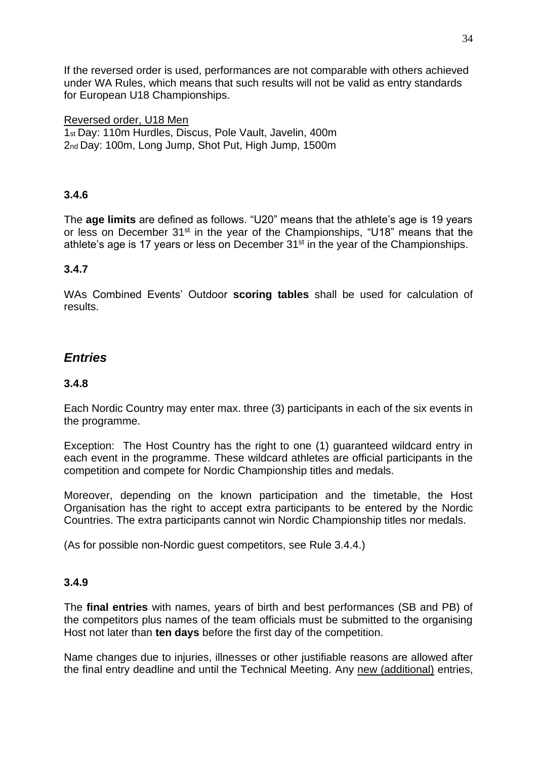If the reversed order is used, performances are not comparable with others achieved under WA Rules, which means that such results will not be valid as entry standards for European U18 Championships.

#### Reversed order, U18 Men

1st Day: 110m Hurdles, Discus, Pole Vault, Javelin, 400m 2nd Day: 100m, Long Jump, Shot Put, High Jump, 1500m

# **3.4.6**

The **age limits** are defined as follows. "U20" means that the athlete's age is 19 years or less on December 31<sup>st</sup> in the year of the Championships, "U18" means that the athlete's age is 17 years or less on December 31<sup>st</sup> in the year of the Championships.

#### **3.4.7**

WAs Combined Events' Outdoor **scoring tables** shall be used for calculation of results.

# *Entries*

#### **3.4.8**

Each Nordic Country may enter max. three (3) participants in each of the six events in the programme.

Exception: The Host Country has the right to one (1) guaranteed wildcard entry in each event in the programme. These wildcard athletes are official participants in the competition and compete for Nordic Championship titles and medals.

Moreover, depending on the known participation and the timetable, the Host Organisation has the right to accept extra participants to be entered by the Nordic Countries. The extra participants cannot win Nordic Championship titles nor medals.

(As for possible non-Nordic guest competitors, see Rule 3.4.4.)

#### **3.4.9**

The **final entries** with names, years of birth and best performances (SB and PB) of the competitors plus names of the team officials must be submitted to the organising Host not later than **ten days** before the first day of the competition.

Name changes due to injuries, illnesses or other justifiable reasons are allowed after the final entry deadline and until the Technical Meeting. Any new (additional) entries,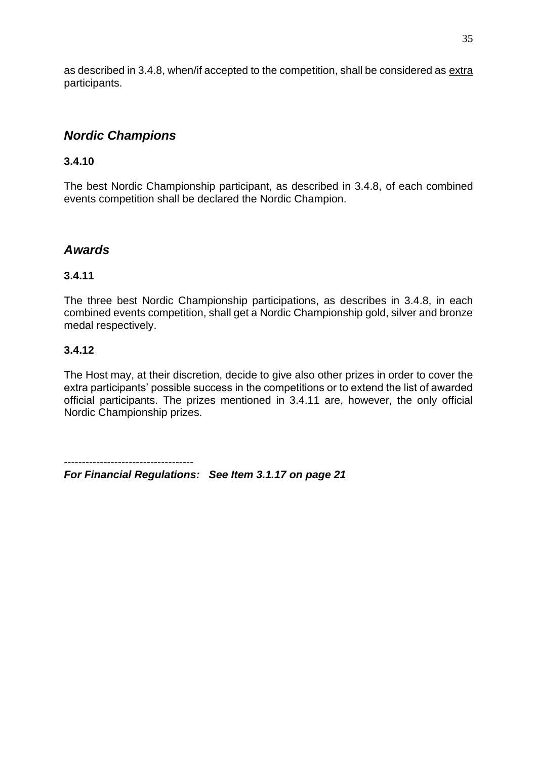as described in 3.4.8, when/if accepted to the competition, shall be considered as extra participants.

# *Nordic Champions*

#### **3.4.10**

The best Nordic Championship participant, as described in 3.4.8, of each combined events competition shall be declared the Nordic Champion.

# *Awards*

# **3.4.11**

The three best Nordic Championship participations, as describes in 3.4.8, in each combined events competition, shall get a Nordic Championship gold, silver and bronze medal respectively.

#### **3.4.12**

The Host may, at their discretion, decide to give also other prizes in order to cover the extra participants' possible success in the competitions or to extend the list of awarded official participants. The prizes mentioned in 3.4.11 are, however, the only official Nordic Championship prizes.

------------------------------------ *For Financial Regulations: See Item 3.1.17 on page 21*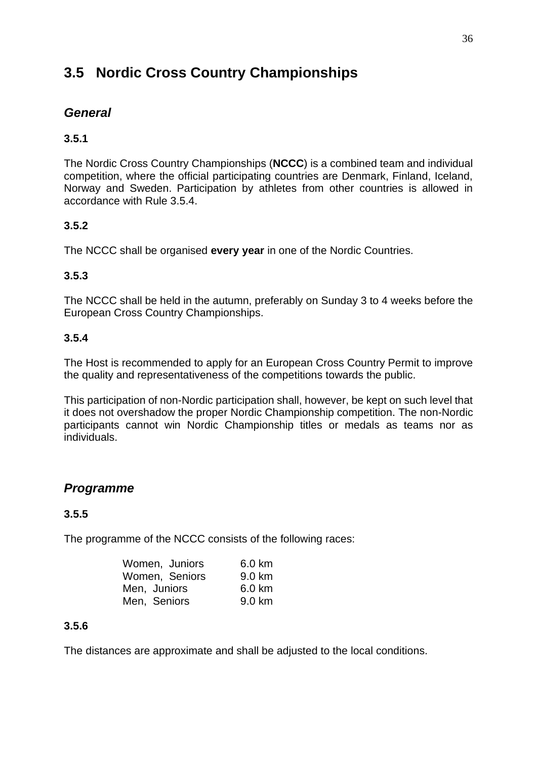# **3.5 Nordic Cross Country Championships**

# *General*

# **3.5.1**

The Nordic Cross Country Championships (**NCCC**) is a combined team and individual competition, where the official participating countries are Denmark, Finland, Iceland, Norway and Sweden. Participation by athletes from other countries is allowed in accordance with Rule 3.5.4.

# **3.5.2**

The NCCC shall be organised **every year** in one of the Nordic Countries.

# **3.5.3**

The NCCC shall be held in the autumn, preferably on Sunday 3 to 4 weeks before the European Cross Country Championships.

# **3.5.4**

The Host is recommended to apply for an European Cross Country Permit to improve the quality and representativeness of the competitions towards the public.

This participation of non-Nordic participation shall, however, be kept on such level that it does not overshadow the proper Nordic Championship competition. The non-Nordic participants cannot win Nordic Championship titles or medals as teams nor as individuals.

# *Programme*

# **3.5.5**

The programme of the NCCC consists of the following races:

| Women, Juniors | 6.0 km |
|----------------|--------|
| Women, Seniors | 9.0 km |
| Men, Juniors   | 6.0 km |
| Men, Seniors   | 9.0 km |

# **3.5.6**

The distances are approximate and shall be adjusted to the local conditions.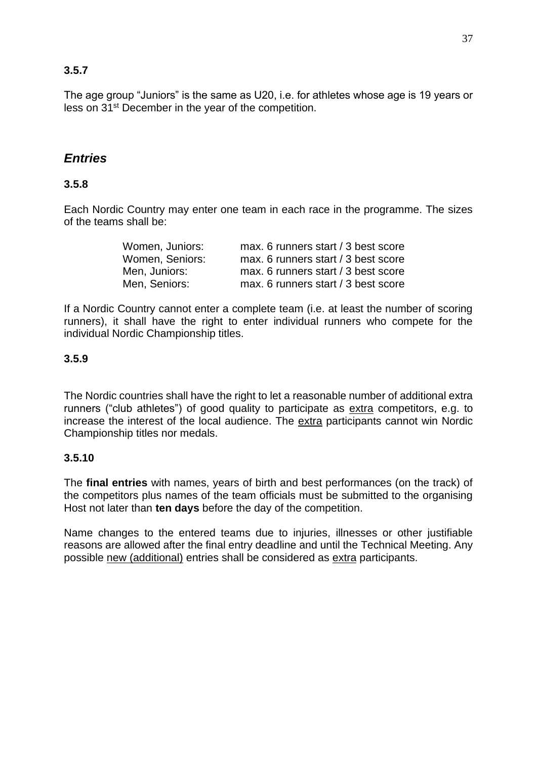# **3.5.7**

The age group "Juniors" is the same as U20, i.e. for athletes whose age is 19 years or less on 31st December in the year of the competition.

# *Entries*

# **3.5.8**

Each Nordic Country may enter one team in each race in the programme. The sizes of the teams shall be:

| Women, Juniors: | max. 6 runners start / 3 best score |
|-----------------|-------------------------------------|
| Women, Seniors: | max. 6 runners start / 3 best score |
| Men, Juniors:   | max. 6 runners start / 3 best score |
| Men, Seniors:   | max. 6 runners start / 3 best score |

If a Nordic Country cannot enter a complete team (i.e. at least the number of scoring runners), it shall have the right to enter individual runners who compete for the individual Nordic Championship titles.

#### **3.5.9**

The Nordic countries shall have the right to let a reasonable number of additional extra runners ("club athletes") of good quality to participate as extra competitors, e.g. to increase the interest of the local audience. The extra participants cannot win Nordic Championship titles nor medals.

# **3.5.10**

The **final entries** with names, years of birth and best performances (on the track) of the competitors plus names of the team officials must be submitted to the organising Host not later than **ten days** before the day of the competition.

Name changes to the entered teams due to injuries, illnesses or other justifiable reasons are allowed after the final entry deadline and until the Technical Meeting. Any possible new (additional) entries shall be considered as extra participants.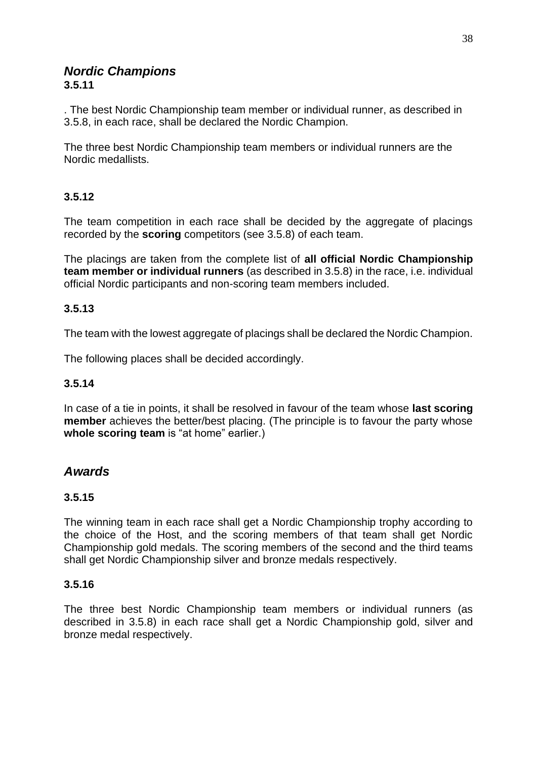#### *Nordic Champions* **3.5.11**

. The best Nordic Championship team member or individual runner, as described in 3.5.8, in each race, shall be declared the Nordic Champion.

The three best Nordic Championship team members or individual runners are the Nordic medallists.

# **3.5.12**

The team competition in each race shall be decided by the aggregate of placings recorded by the **scoring** competitors (see 3.5.8) of each team.

The placings are taken from the complete list of **all official Nordic Championship team member or individual runners** (as described in 3.5.8) in the race, i.e. individual official Nordic participants and non-scoring team members included.

# **3.5.13**

The team with the lowest aggregate of placings shall be declared the Nordic Champion.

The following places shall be decided accordingly.

# **3.5.14**

In case of a tie in points, it shall be resolved in favour of the team whose **last scoring member** achieves the better/best placing. (The principle is to favour the party whose **whole scoring team** is "at home" earlier.)

# *Awards*

# **3.5.15**

The winning team in each race shall get a Nordic Championship trophy according to the choice of the Host, and the scoring members of that team shall get Nordic Championship gold medals. The scoring members of the second and the third teams shall get Nordic Championship silver and bronze medals respectively.

# **3.5.16**

The three best Nordic Championship team members or individual runners (as described in 3.5.8) in each race shall get a Nordic Championship gold, silver and bronze medal respectively.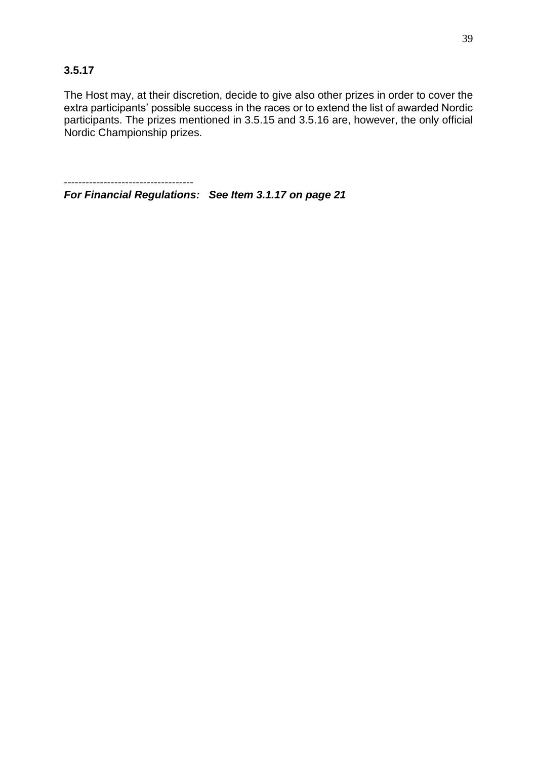The Host may, at their discretion, decide to give also other prizes in order to cover the extra participants' possible success in the races or to extend the list of awarded Nordic participants. The prizes mentioned in 3.5.15 and 3.5.16 are, however, the only official Nordic Championship prizes.

*For Financial Regulations: See Item 3.1.17 on page 21*

------------------------------------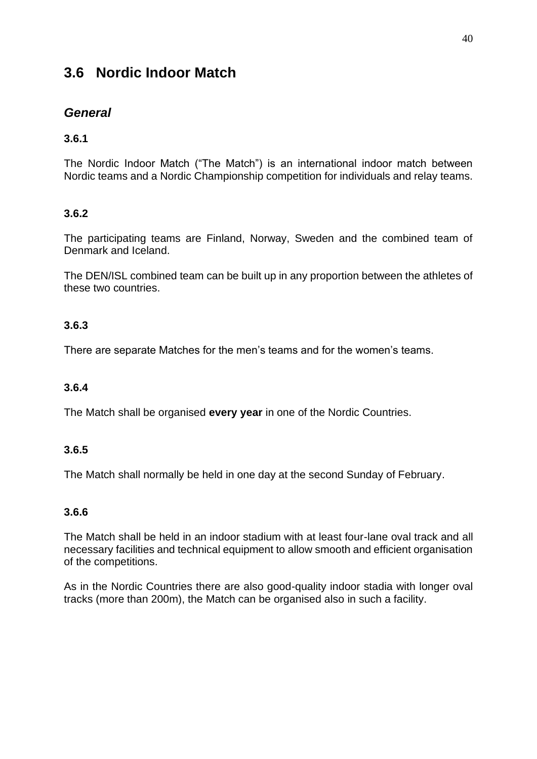# **3.6 Nordic Indoor Match**

# *General*

# **3.6.1**

The Nordic Indoor Match ("The Match") is an international indoor match between Nordic teams and a Nordic Championship competition for individuals and relay teams.

# **3.6.2**

The participating teams are Finland, Norway, Sweden and the combined team of Denmark and Iceland.

The DEN/ISL combined team can be built up in any proportion between the athletes of these two countries.

# **3.6.3**

There are separate Matches for the men's teams and for the women's teams.

# **3.6.4**

The Match shall be organised **every year** in one of the Nordic Countries.

# **3.6.5**

The Match shall normally be held in one day at the second Sunday of February.

# **3.6.6**

The Match shall be held in an indoor stadium with at least four-lane oval track and all necessary facilities and technical equipment to allow smooth and efficient organisation of the competitions.

As in the Nordic Countries there are also good-quality indoor stadia with longer oval tracks (more than 200m), the Match can be organised also in such a facility.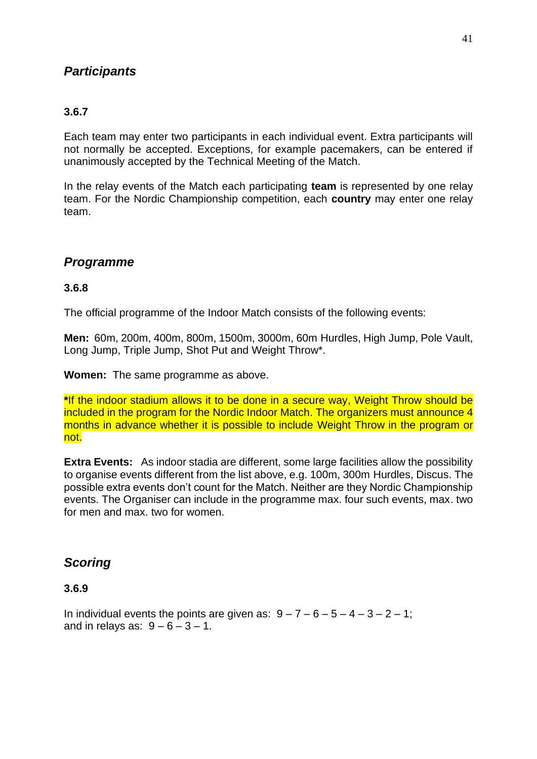# *Participants*

# **3.6.7**

Each team may enter two participants in each individual event. Extra participants will not normally be accepted. Exceptions, for example pacemakers, can be entered if unanimously accepted by the Technical Meeting of the Match.

In the relay events of the Match each participating **team** is represented by one relay team. For the Nordic Championship competition, each **country** may enter one relay team.

# *Programme*

#### **3.6.8**

The official programme of the Indoor Match consists of the following events:

**Men:** 60m, 200m, 400m, 800m, 1500m, 3000m, 60m Hurdles, High Jump, Pole Vault, Long Jump, Triple Jump, Shot Put and Weight Throw\*.

**Women:** The same programme as above.

**\***If the indoor stadium allows it to be done in a secure way, Weight Throw should be included in the program for the Nordic Indoor Match. The organizers must announce 4 months in advance whether it is possible to include Weight Throw in the program or not.

**Extra Events:** As indoor stadia are different, some large facilities allow the possibility to organise events different from the list above, e.g. 100m, 300m Hurdles, Discus. The possible extra events don't count for the Match. Neither are they Nordic Championship events. The Organiser can include in the programme max. four such events, max. two for men and max. two for women.

# *Scoring*

# **3.6.9**

In individual events the points are given as:  $9 - 7 - 6 - 5 - 4 - 3 - 2 - 1$ ; and in relays as:  $9 - 6 - 3 - 1$ .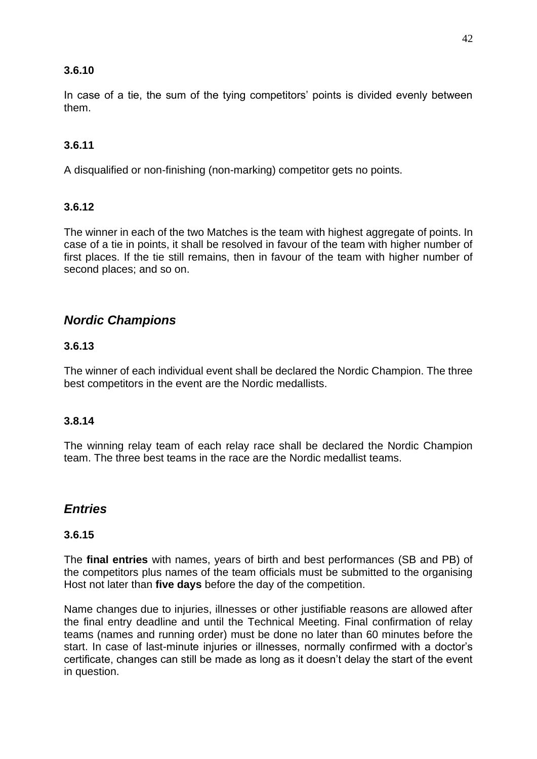#### **3.6.10**

In case of a tie, the sum of the tying competitors' points is divided evenly between them.

#### **3.6.11**

A disqualified or non-finishing (non-marking) competitor gets no points.

#### **3.6.12**

The winner in each of the two Matches is the team with highest aggregate of points. In case of a tie in points, it shall be resolved in favour of the team with higher number of first places. If the tie still remains, then in favour of the team with higher number of second places; and so on.

# *Nordic Champions*

#### **3.6.13**

The winner of each individual event shall be declared the Nordic Champion. The three best competitors in the event are the Nordic medallists.

#### **3.8.14**

The winning relay team of each relay race shall be declared the Nordic Champion team. The three best teams in the race are the Nordic medallist teams.

# *Entries*

#### **3.6.15**

The **final entries** with names, years of birth and best performances (SB and PB) of the competitors plus names of the team officials must be submitted to the organising Host not later than **five days** before the day of the competition.

Name changes due to injuries, illnesses or other justifiable reasons are allowed after the final entry deadline and until the Technical Meeting. Final confirmation of relay teams (names and running order) must be done no later than 60 minutes before the start. In case of last-minute injuries or illnesses, normally confirmed with a doctor's certificate, changes can still be made as long as it doesn't delay the start of the event in question.